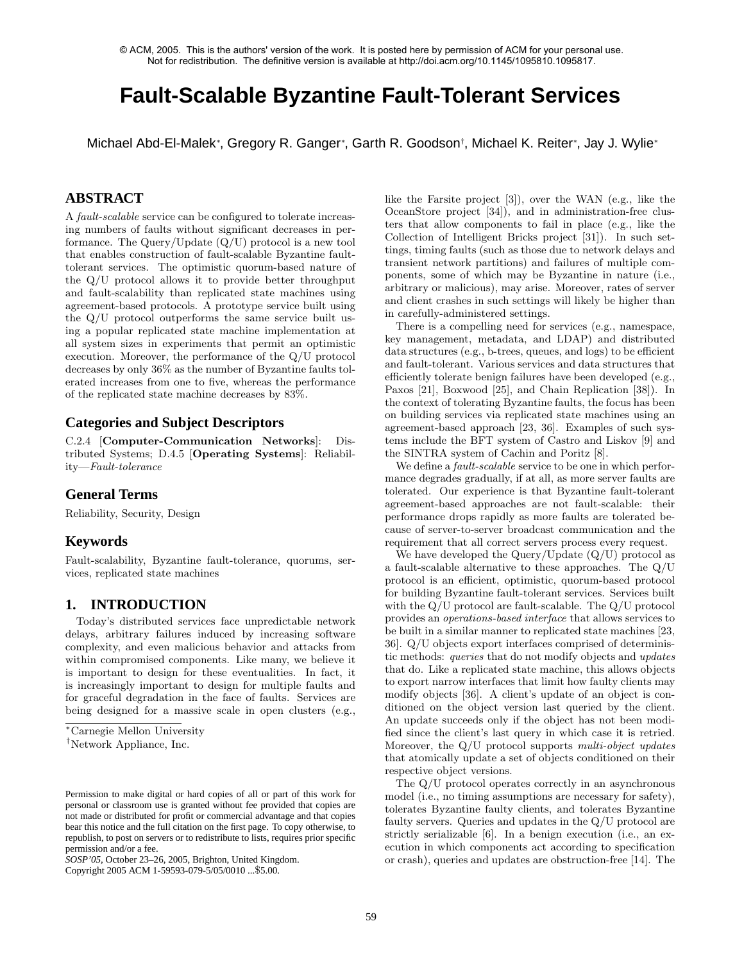# **Fault-Scalable Byzantine Fault-Tolerant Services**

Michael Abd-El-Malek\*, Gregory R. Ganger\*, Garth R. Goodson<sup>†</sup>, Michael K. Reiter\*, Jay J. Wylie\*

# **ABSTRACT**

A fault-scalable service can be configured to tolerate increasing numbers of faults without significant decreases in performance. The Query/Update (Q/U) protocol is a new tool that enables construction of fault-scalable Byzantine faulttolerant services. The optimistic quorum-based nature of the Q/U protocol allows it to provide better throughput and fault-scalability than replicated state machines using agreement-based protocols. A prototype service built using the Q/U protocol outperforms the same service built using a popular replicated state machine implementation at all system sizes in experiments that permit an optimistic execution. Moreover, the performance of the Q/U protocol decreases by only 36% as the number of Byzantine faults tolerated increases from one to five, whereas the performance of the replicated state machine decreases by 83%.

## **Categories and Subject Descriptors**

C.2.4 [Computer-Communication Networks]: Distributed Systems; D.4.5 [Operating Systems]: Reliability—Fault-tolerance

## **General Terms**

Reliability, Security, Design

## **Keywords**

Fault-scalability, Byzantine fault-tolerance, quorums, services, replicated state machines

## **1. INTRODUCTION**

Today's distributed services face unpredictable network delays, arbitrary failures induced by increasing software complexity, and even malicious behavior and attacks from within compromised components. Like many, we believe it is important to design for these eventualities. In fact, it is increasingly important to design for multiple faults and for graceful degradation in the face of faults. Services are being designed for a massive scale in open clusters (e.g.,

Copyright 2005 ACM 1-59593-079-5/05/0010 ...\$5.00.

like the Farsite project [3]), over the WAN (e.g., like the OceanStore project [34]), and in administration-free clusters that allow components to fail in place (e.g., like the Collection of Intelligent Bricks project [31]). In such settings, timing faults (such as those due to network delays and transient network partitions) and failures of multiple components, some of which may be Byzantine in nature (i.e., arbitrary or malicious), may arise. Moreover, rates of server and client crashes in such settings will likely be higher than in carefully-administered settings.

There is a compelling need for services (e.g., namespace, key management, metadata, and LDAP) and distributed data structures (e.g., b-trees, queues, and logs) to be efficient and fault-tolerant. Various services and data structures that efficiently tolerate benign failures have been developed (e.g., Paxos [21], Boxwood [25], and Chain Replication [38]). In the context of tolerating Byzantine faults, the focus has been on building services via replicated state machines using an agreement-based approach [23, 36]. Examples of such systems include the BFT system of Castro and Liskov [9] and the SINTRA system of Cachin and Poritz [8].

We define a *fault-scalable* service to be one in which performance degrades gradually, if at all, as more server faults are tolerated. Our experience is that Byzantine fault-tolerant agreement-based approaches are not fault-scalable: their performance drops rapidly as more faults are tolerated because of server-to-server broadcast communication and the requirement that all correct servers process every request.

We have developed the  $Query/Update(Q/U)$  protocol as a fault-scalable alternative to these approaches. The Q/U protocol is an efficient, optimistic, quorum-based protocol for building Byzantine fault-tolerant services. Services built with the Q/U protocol are fault-scalable. The Q/U protocol provides an operations-based interface that allows services to be built in a similar manner to replicated state machines [23, 36]. Q/U objects export interfaces comprised of deterministic methods: queries that do not modify objects and updates that do. Like a replicated state machine, this allows objects to export narrow interfaces that limit how faulty clients may modify objects [36]. A client's update of an object is conditioned on the object version last queried by the client. An update succeeds only if the object has not been modified since the client's last query in which case it is retried. Moreover, the  $Q/U$  protocol supports *multi-object updates* that atomically update a set of objects conditioned on their respective object versions.

The Q/U protocol operates correctly in an asynchronous model (i.e., no timing assumptions are necessary for safety), tolerates Byzantine faulty clients, and tolerates Byzantine faulty servers. Queries and updates in the Q/U protocol are strictly serializable [6]. In a benign execution (i.e., an execution in which components act according to specification or crash), queries and updates are obstruction-free [14]. The

<sup>∗</sup>Carnegie Mellon University

<sup>†</sup>Network Appliance, Inc.

Permission to make digital or hard copies of all or part of this work for personal or classroom use is granted without fee provided that copies are not made or distributed for profit or commercial advantage and that copies bear this notice and the full citation on the first page. To copy otherwise, to republish, to post on servers or to redistribute to lists, requires prior specific permission and/or a fee.

*SOSP'05,* October 23–26, 2005, Brighton, United Kingdom.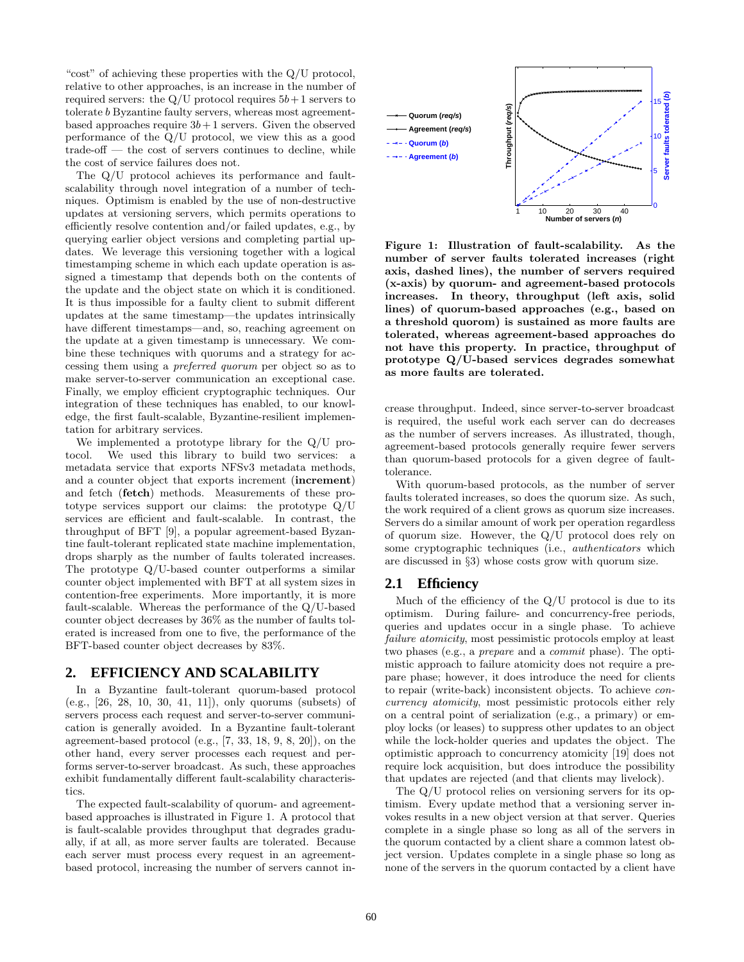"cost" of achieving these properties with the Q/U protocol, relative to other approaches, is an increase in the number of required servers: the  $Q/U$  protocol requires  $5b+1$  servers to tolerate b Byzantine faulty servers, whereas most agreementbased approaches require  $3b+1$  servers. Given the observed performance of the Q/U protocol, we view this as a good trade-off — the cost of servers continues to decline, while the cost of service failures does not.

The Q/U protocol achieves its performance and faultscalability through novel integration of a number of techniques. Optimism is enabled by the use of non-destructive updates at versioning servers, which permits operations to efficiently resolve contention and/or failed updates, e.g., by querying earlier object versions and completing partial updates. We leverage this versioning together with a logical timestamping scheme in which each update operation is assigned a timestamp that depends both on the contents of the update and the object state on which it is conditioned. It is thus impossible for a faulty client to submit different updates at the same timestamp—the updates intrinsically have different timestamps—and, so, reaching agreement on the update at a given timestamp is unnecessary. We combine these techniques with quorums and a strategy for accessing them using a preferred quorum per object so as to make server-to-server communication an exceptional case. Finally, we employ efficient cryptographic techniques. Our integration of these techniques has enabled, to our knowledge, the first fault-scalable, Byzantine-resilient implementation for arbitrary services.

We implemented a prototype library for the Q/U protocol. We used this library to build two services: a metadata service that exports NFSv3 metadata methods, and a counter object that exports increment (increment) and fetch (fetch) methods. Measurements of these prototype services support our claims: the prototype Q/U services are efficient and fault-scalable. In contrast, the throughput of BFT [9], a popular agreement-based Byzantine fault-tolerant replicated state machine implementation, drops sharply as the number of faults tolerated increases. The prototype Q/U-based counter outperforms a similar counter object implemented with BFT at all system sizes in contention-free experiments. More importantly, it is more fault-scalable. Whereas the performance of the Q/U-based counter object decreases by 36% as the number of faults tolerated is increased from one to five, the performance of the BFT-based counter object decreases by 83%.

#### **2. EFFICIENCY AND SCALABILITY**

In a Byzantine fault-tolerant quorum-based protocol (e.g., [26, 28, 10, 30, 41, 11]), only quorums (subsets) of servers process each request and server-to-server communication is generally avoided. In a Byzantine fault-tolerant agreement-based protocol (e.g., [7, 33, 18, 9, 8, 20]), on the other hand, every server processes each request and performs server-to-server broadcast. As such, these approaches exhibit fundamentally different fault-scalability characteristics.

The expected fault-scalability of quorum- and agreementbased approaches is illustrated in Figure 1. A protocol that is fault-scalable provides throughput that degrades gradually, if at all, as more server faults are tolerated. Because each server must process every request in an agreementbased protocol, increasing the number of servers cannot in-



Figure 1: Illustration of fault-scalability. As the number of server faults tolerated increases (right axis, dashed lines), the number of servers required (x-axis) by quorum- and agreement-based protocols increases. In theory, throughput (left axis, solid lines) of quorum-based approaches (e.g., based on a threshold quorom) is sustained as more faults are tolerated, whereas agreement-based approaches do not have this property. In practice, throughput of prototype Q/U-based services degrades somewhat as more faults are tolerated.

crease throughput. Indeed, since server-to-server broadcast is required, the useful work each server can do decreases as the number of servers increases. As illustrated, though, agreement-based protocols generally require fewer servers than quorum-based protocols for a given degree of faulttolerance.

With quorum-based protocols, as the number of server faults tolerated increases, so does the quorum size. As such, the work required of a client grows as quorum size increases. Servers do a similar amount of work per operation regardless of quorum size. However, the Q/U protocol does rely on some cryptographic techniques (i.e., authenticators which are discussed in §3) whose costs grow with quorum size.

## **2.1 Efficiency**

Much of the efficiency of the Q/U protocol is due to its optimism. During failure- and concurrency-free periods, queries and updates occur in a single phase. To achieve failure atomicity, most pessimistic protocols employ at least two phases (e.g., a prepare and a commit phase). The optimistic approach to failure atomicity does not require a prepare phase; however, it does introduce the need for clients to repair (write-back) inconsistent objects. To achieve concurrency atomicity, most pessimistic protocols either rely on a central point of serialization (e.g., a primary) or employ locks (or leases) to suppress other updates to an object while the lock-holder queries and updates the object. The optimistic approach to concurrency atomicity [19] does not require lock acquisition, but does introduce the possibility that updates are rejected (and that clients may livelock).

The Q/U protocol relies on versioning servers for its optimism. Every update method that a versioning server invokes results in a new object version at that server. Queries complete in a single phase so long as all of the servers in the quorum contacted by a client share a common latest object version. Updates complete in a single phase so long as none of the servers in the quorum contacted by a client have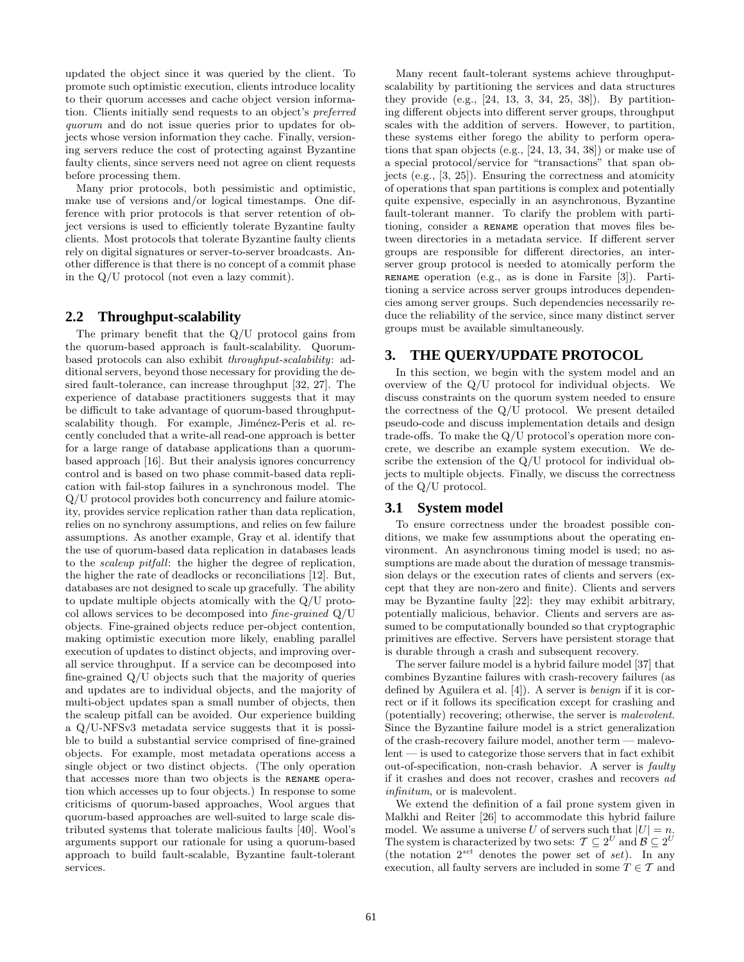updated the object since it was queried by the client. To promote such optimistic execution, clients introduce locality to their quorum accesses and cache object version information. Clients initially send requests to an object's preferred quorum and do not issue queries prior to updates for objects whose version information they cache. Finally, versioning servers reduce the cost of protecting against Byzantine faulty clients, since servers need not agree on client requests before processing them.

Many prior protocols, both pessimistic and optimistic, make use of versions and/or logical timestamps. One difference with prior protocols is that server retention of object versions is used to efficiently tolerate Byzantine faulty clients. Most protocols that tolerate Byzantine faulty clients rely on digital signatures or server-to-server broadcasts. Another difference is that there is no concept of a commit phase in the Q/U protocol (not even a lazy commit).

#### **2.2 Throughput-scalability**

The primary benefit that the Q/U protocol gains from the quorum-based approach is fault-scalability. Quorumbased protocols can also exhibit throughput-scalability: additional servers, beyond those necessary for providing the desired fault-tolerance, can increase throughput [32, 27]. The experience of database practitioners suggests that it may be difficult to take advantage of quorum-based throughputscalability though. For example, Jiménez-Peris et al. recently concluded that a write-all read-one approach is better for a large range of database applications than a quorumbased approach [16]. But their analysis ignores concurrency control and is based on two phase commit-based data replication with fail-stop failures in a synchronous model. The Q/U protocol provides both concurrency and failure atomicity, provides service replication rather than data replication, relies on no synchrony assumptions, and relies on few failure assumptions. As another example, Gray et al. identify that the use of quorum-based data replication in databases leads to the scaleup pitfall: the higher the degree of replication, the higher the rate of deadlocks or reconciliations [12]. But, databases are not designed to scale up gracefully. The ability to update multiple objects atomically with the Q/U protocol allows services to be decomposed into fine-grained Q/U objects. Fine-grained objects reduce per-object contention, making optimistic execution more likely, enabling parallel execution of updates to distinct objects, and improving overall service throughput. If a service can be decomposed into fine-grained Q/U objects such that the majority of queries and updates are to individual objects, and the majority of multi-object updates span a small number of objects, then the scaleup pitfall can be avoided. Our experience building a Q/U-NFSv3 metadata service suggests that it is possible to build a substantial service comprised of fine-grained objects. For example, most metadata operations access a single object or two distinct objects. (The only operation that accesses more than two objects is the rename operation which accesses up to four objects.) In response to some criticisms of quorum-based approaches, Wool argues that quorum-based approaches are well-suited to large scale distributed systems that tolerate malicious faults [40]. Wool's arguments support our rationale for using a quorum-based approach to build fault-scalable, Byzantine fault-tolerant services.

Many recent fault-tolerant systems achieve throughputscalability by partitioning the services and data structures they provide  $(e.g., [24, 13, 3, 34, 25, 38])$ . By partitioning different objects into different server groups, throughput scales with the addition of servers. However, to partition, these systems either forego the ability to perform operations that span objects (e.g., [24, 13, 34, 38]) or make use of a special protocol/service for "transactions" that span objects (e.g., [3, 25]). Ensuring the correctness and atomicity of operations that span partitions is complex and potentially quite expensive, especially in an asynchronous, Byzantine fault-tolerant manner. To clarify the problem with partitioning, consider a rename operation that moves files between directories in a metadata service. If different server groups are responsible for different directories, an interserver group protocol is needed to atomically perform the rename operation (e.g., as is done in Farsite [3]). Partitioning a service across server groups introduces dependencies among server groups. Such dependencies necessarily reduce the reliability of the service, since many distinct server groups must be available simultaneously.

## **3. THE QUERY/UPDATE PROTOCOL**

In this section, we begin with the system model and an overview of the Q/U protocol for individual objects. We discuss constraints on the quorum system needed to ensure the correctness of the Q/U protocol. We present detailed pseudo-code and discuss implementation details and design trade-offs. To make the Q/U protocol's operation more concrete, we describe an example system execution. We describe the extension of the Q/U protocol for individual objects to multiple objects. Finally, we discuss the correctness of the Q/U protocol.

#### **3.1 System model**

To ensure correctness under the broadest possible conditions, we make few assumptions about the operating environment. An asynchronous timing model is used; no assumptions are made about the duration of message transmission delays or the execution rates of clients and servers (except that they are non-zero and finite). Clients and servers may be Byzantine faulty [22]: they may exhibit arbitrary, potentially malicious, behavior. Clients and servers are assumed to be computationally bounded so that cryptographic primitives are effective. Servers have persistent storage that is durable through a crash and subsequent recovery.

The server failure model is a hybrid failure model [37] that combines Byzantine failures with crash-recovery failures (as defined by Aguilera et al. [4]). A server is benign if it is correct or if it follows its specification except for crashing and (potentially) recovering; otherwise, the server is malevolent. Since the Byzantine failure model is a strict generalization of the crash-recovery failure model, another term — malevolent — is used to categorize those servers that in fact exhibit out-of-specification, non-crash behavior. A server is faulty if it crashes and does not recover, crashes and recovers ad infinitum, or is malevolent.

We extend the definition of a fail prone system given in Malkhi and Reiter [26] to accommodate this hybrid failure model. We assume a universe U of servers such that  $|U| = n$ . The system is characterized by two sets:  $\mathcal{T} \subseteq 2^U$  and  $\mathcal{B} \subseteq 2^U$ (the notation  $2^{set}$  denotes the power set of set). In any execution, all faulty servers are included in some  $T \in \mathcal{T}$  and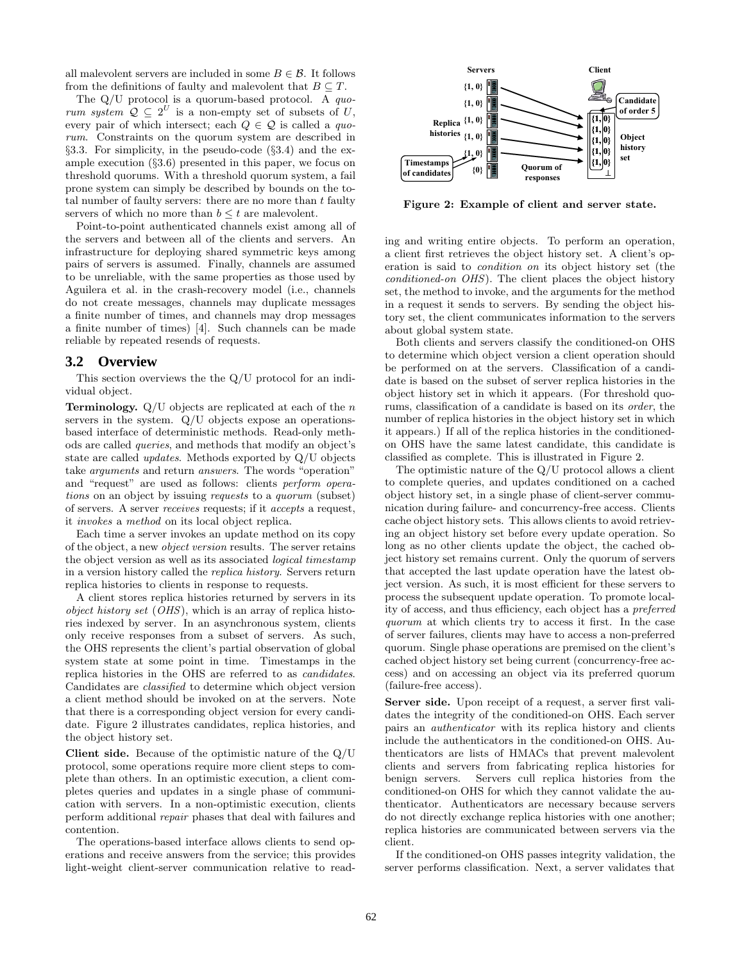all malevolent servers are included in some  $B \in \mathcal{B}$ . It follows from the definitions of faulty and malevolent that  $B \subseteq T$ .

The  $Q/U$  protocol is a quorum-based protocol. A quorum system  $Q \subseteq 2^U$  is a non-empty set of subsets of U, every pair of which intersect; each  $Q \in \mathcal{Q}$  is called a quorum. Constraints on the quorum system are described in §3.3. For simplicity, in the pseudo-code (§3.4) and the example execution (§3.6) presented in this paper, we focus on threshold quorums. With a threshold quorum system, a fail prone system can simply be described by bounds on the total number of faulty servers: there are no more than  $t$  faulty servers of which no more than  $b \leq t$  are malevolent.

Point-to-point authenticated channels exist among all of the servers and between all of the clients and servers. An infrastructure for deploying shared symmetric keys among pairs of servers is assumed. Finally, channels are assumed to be unreliable, with the same properties as those used by Aguilera et al. in the crash-recovery model (i.e., channels do not create messages, channels may duplicate messages a finite number of times, and channels may drop messages a finite number of times) [4]. Such channels can be made reliable by repeated resends of requests.

#### **3.2 Overview**

This section overviews the the Q/U protocol for an individual object.

**Terminology.**  $Q/U$  objects are replicated at each of the n servers in the system. Q/U objects expose an operationsbased interface of deterministic methods. Read-only methods are called queries, and methods that modify an object's state are called updates. Methods exported by Q/U objects take arguments and return answers. The words "operation" and "request" are used as follows: clients perform operations on an object by issuing requests to a quorum (subset) of servers. A server receives requests; if it accepts a request, it invokes a method on its local object replica.

Each time a server invokes an update method on its copy of the object, a new object version results. The server retains the object version as well as its associated logical timestamp in a version history called the replica history. Servers return replica histories to clients in response to requests.

A client stores replica histories returned by servers in its object history set (OHS), which is an array of replica histories indexed by server. In an asynchronous system, clients only receive responses from a subset of servers. As such, the OHS represents the client's partial observation of global system state at some point in time. Timestamps in the replica histories in the OHS are referred to as candidates. Candidates are classified to determine which object version a client method should be invoked on at the servers. Note that there is a corresponding object version for every candidate. Figure 2 illustrates candidates, replica histories, and the object history set.

Client side. Because of the optimistic nature of the Q/U protocol, some operations require more client steps to complete than others. In an optimistic execution, a client completes queries and updates in a single phase of communication with servers. In a non-optimistic execution, clients perform additional repair phases that deal with failures and contention.

The operations-based interface allows clients to send operations and receive answers from the service; this provides light-weight client-server communication relative to read-



Figure 2: Example of client and server state.

ing and writing entire objects. To perform an operation, a client first retrieves the object history set. A client's operation is said to condition on its object history set (the conditioned-on OHS). The client places the object history set, the method to invoke, and the arguments for the method in a request it sends to servers. By sending the object history set, the client communicates information to the servers about global system state.

Both clients and servers classify the conditioned-on OHS to determine which object version a client operation should be performed on at the servers. Classification of a candidate is based on the subset of server replica histories in the object history set in which it appears. (For threshold quorums, classification of a candidate is based on its order, the number of replica histories in the object history set in which it appears.) If all of the replica histories in the conditionedon OHS have the same latest candidate, this candidate is classified as complete. This is illustrated in Figure 2.

The optimistic nature of the Q/U protocol allows a client to complete queries, and updates conditioned on a cached object history set, in a single phase of client-server communication during failure- and concurrency-free access. Clients cache object history sets. This allows clients to avoid retrieving an object history set before every update operation. So long as no other clients update the object, the cached object history set remains current. Only the quorum of servers that accepted the last update operation have the latest object version. As such, it is most efficient for these servers to process the subsequent update operation. To promote locality of access, and thus efficiency, each object has a preferred quorum at which clients try to access it first. In the case of server failures, clients may have to access a non-preferred quorum. Single phase operations are premised on the client's cached object history set being current (concurrency-free access) and on accessing an object via its preferred quorum (failure-free access).

Server side. Upon receipt of a request, a server first validates the integrity of the conditioned-on OHS. Each server pairs an authenticator with its replica history and clients include the authenticators in the conditioned-on OHS. Authenticators are lists of HMACs that prevent malevolent clients and servers from fabricating replica histories for benign servers. Servers cull replica histories from the conditioned-on OHS for which they cannot validate the authenticator. Authenticators are necessary because servers do not directly exchange replica histories with one another; replica histories are communicated between servers via the client.

If the conditioned-on OHS passes integrity validation, the server performs classification. Next, a server validates that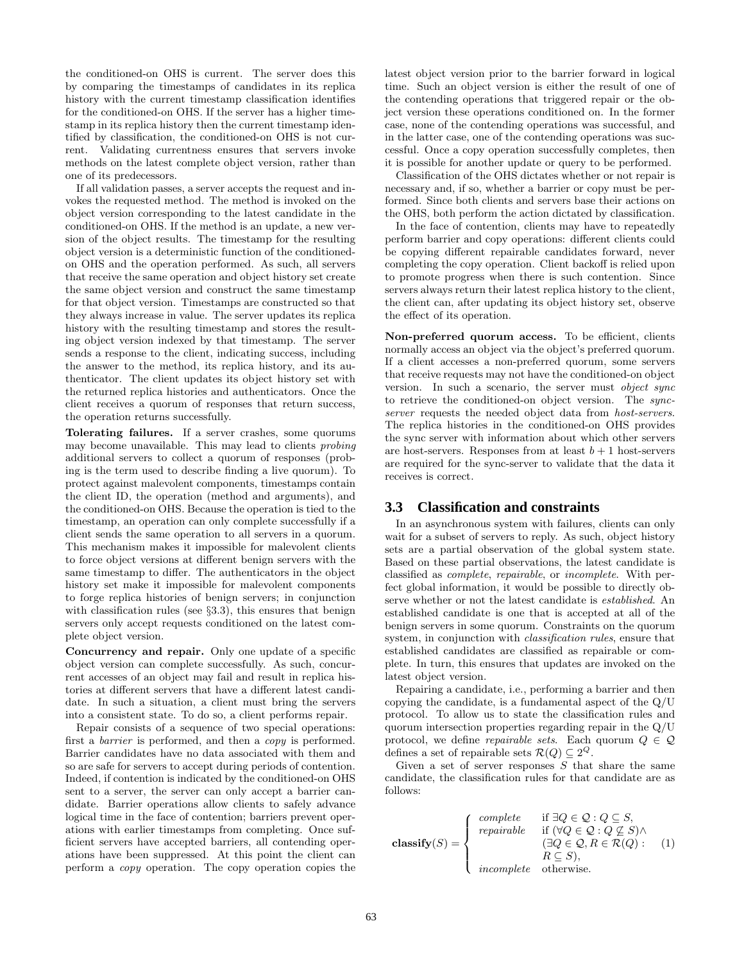the conditioned-on OHS is current. The server does this by comparing the timestamps of candidates in its replica history with the current timestamp classification identifies for the conditioned-on OHS. If the server has a higher timestamp in its replica history then the current timestamp identified by classification, the conditioned-on OHS is not current. Validating currentness ensures that servers invoke methods on the latest complete object version, rather than one of its predecessors.

If all validation passes, a server accepts the request and invokes the requested method. The method is invoked on the object version corresponding to the latest candidate in the conditioned-on OHS. If the method is an update, a new version of the object results. The timestamp for the resulting object version is a deterministic function of the conditionedon OHS and the operation performed. As such, all servers that receive the same operation and object history set create the same object version and construct the same timestamp for that object version. Timestamps are constructed so that they always increase in value. The server updates its replica history with the resulting timestamp and stores the resulting object version indexed by that timestamp. The server sends a response to the client, indicating success, including the answer to the method, its replica history, and its authenticator. The client updates its object history set with the returned replica histories and authenticators. Once the client receives a quorum of responses that return success, the operation returns successfully.

Tolerating failures. If a server crashes, some quorums may become unavailable. This may lead to clients probing additional servers to collect a quorum of responses (probing is the term used to describe finding a live quorum). To protect against malevolent components, timestamps contain the client ID, the operation (method and arguments), and the conditioned-on OHS. Because the operation is tied to the timestamp, an operation can only complete successfully if a client sends the same operation to all servers in a quorum. This mechanism makes it impossible for malevolent clients to force object versions at different benign servers with the same timestamp to differ. The authenticators in the object history set make it impossible for malevolent components to forge replica histories of benign servers; in conjunction with classification rules (see §3.3), this ensures that benign servers only accept requests conditioned on the latest complete object version.

Concurrency and repair. Only one update of a specific object version can complete successfully. As such, concurrent accesses of an object may fail and result in replica histories at different servers that have a different latest candidate. In such a situation, a client must bring the servers into a consistent state. To do so, a client performs repair.

Repair consists of a sequence of two special operations: first a barrier is performed, and then a copy is performed. Barrier candidates have no data associated with them and so are safe for servers to accept during periods of contention. Indeed, if contention is indicated by the conditioned-on OHS sent to a server, the server can only accept a barrier candidate. Barrier operations allow clients to safely advance logical time in the face of contention; barriers prevent operations with earlier timestamps from completing. Once sufficient servers have accepted barriers, all contending operations have been suppressed. At this point the client can perform a copy operation. The copy operation copies the latest object version prior to the barrier forward in logical time. Such an object version is either the result of one of the contending operations that triggered repair or the object version these operations conditioned on. In the former case, none of the contending operations was successful, and in the latter case, one of the contending operations was successful. Once a copy operation successfully completes, then it is possible for another update or query to be performed.

Classification of the OHS dictates whether or not repair is necessary and, if so, whether a barrier or copy must be performed. Since both clients and servers base their actions on the OHS, both perform the action dictated by classification.

In the face of contention, clients may have to repeatedly perform barrier and copy operations: different clients could be copying different repairable candidates forward, never completing the copy operation. Client backoff is relied upon to promote progress when there is such contention. Since servers always return their latest replica history to the client, the client can, after updating its object history set, observe the effect of its operation.

Non-preferred quorum access. To be efficient, clients normally access an object via the object's preferred quorum. If a client accesses a non-preferred quorum, some servers that receive requests may not have the conditioned-on object version. In such a scenario, the server must object sync to retrieve the conditioned-on object version. The syncserver requests the needed object data from *host-servers*. The replica histories in the conditioned-on OHS provides the sync server with information about which other servers are host-servers. Responses from at least  $b + 1$  host-servers are required for the sync-server to validate that the data it receives is correct.

#### **3.3 Classification and constraints**

In an asynchronous system with failures, clients can only wait for a subset of servers to reply. As such, object history sets are a partial observation of the global system state. Based on these partial observations, the latest candidate is classified as complete, repairable, or incomplete. With perfect global information, it would be possible to directly observe whether or not the latest candidate is established. An established candidate is one that is accepted at all of the benign servers in some quorum. Constraints on the quorum system, in conjunction with *classification rules*, ensure that established candidates are classified as repairable or complete. In turn, this ensures that updates are invoked on the latest object version.

Repairing a candidate, i.e., performing a barrier and then copying the candidate, is a fundamental aspect of the Q/U protocol. To allow us to state the classification rules and quorum intersection properties regarding repair in the Q/U protocol, we define *repairable sets*. Each quorum  $Q \in \mathcal{Q}$ defines a set of repairable sets  $\mathcal{R}(Q) \subseteq 2^Q$ .

Given a set of server responses  $S$  that share the same candidate, the classification rules for that candidate are as follows:

$$
\mathbf{classify}(S) = \begin{cases} \text{complete} & \text{if } \exists Q \in \mathcal{Q} : Q \subseteq S, \\ \text{reparable} & \text{if } (\forall Q \in \mathcal{Q} : Q \nsubseteq S) \land \\ & (\exists Q \in \mathcal{Q}, R \in \mathcal{R}(Q) : \\ R \subseteq S), \\ \text{incomplete} & \text{otherwise.} \end{cases} \tag{1}
$$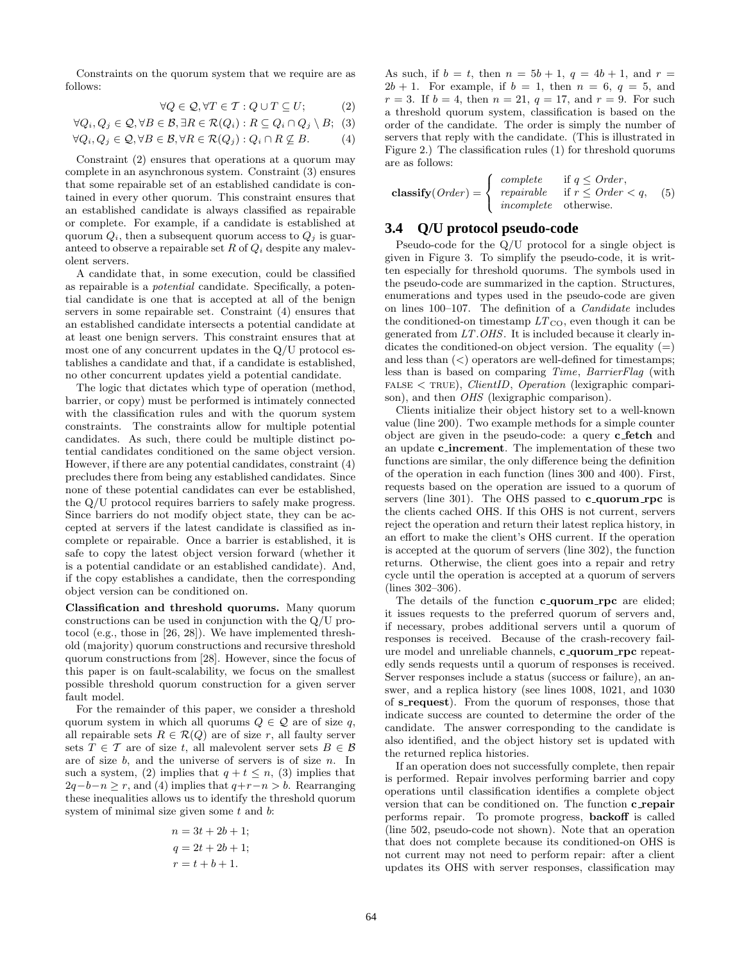Constraints on the quorum system that we require are as follows:

$$
\forall Q \in \mathcal{Q}, \forall T \in \mathcal{T} : Q \cup T \subseteq U; \tag{2}
$$

$$
\forall Q_i, Q_j \in \mathcal{Q}, \forall B \in \mathcal{B}, \exists R \in \mathcal{R}(Q_i) : R \subseteq Q_i \cap Q_j \setminus B; \tag{3}
$$

$$
\forall Q_i, Q_j \in \mathcal{Q}, \forall B \in \mathcal{B}, \forall R \in \mathcal{R}(Q_j) : Q_i \cap R \nsubseteq B. \tag{4}
$$

Constraint (2) ensures that operations at a quorum may complete in an asynchronous system. Constraint (3) ensures that some repairable set of an established candidate is contained in every other quorum. This constraint ensures that an established candidate is always classified as repairable or complete. For example, if a candidate is established at quorum  $Q_i$ , then a subsequent quorum access to  $Q_i$  is guaranteed to observe a repairable set R of  $Q_i$  despite any malevolent servers.

A candidate that, in some execution, could be classified as repairable is a potential candidate. Specifically, a potential candidate is one that is accepted at all of the benign servers in some repairable set. Constraint (4) ensures that an established candidate intersects a potential candidate at at least one benign servers. This constraint ensures that at most one of any concurrent updates in the Q/U protocol establishes a candidate and that, if a candidate is established, no other concurrent updates yield a potential candidate.

The logic that dictates which type of operation (method, barrier, or copy) must be performed is intimately connected with the classification rules and with the quorum system constraints. The constraints allow for multiple potential candidates. As such, there could be multiple distinct potential candidates conditioned on the same object version. However, if there are any potential candidates, constraint (4) precludes there from being any established candidates. Since none of these potential candidates can ever be established, the Q/U protocol requires barriers to safely make progress. Since barriers do not modify object state, they can be accepted at servers if the latest candidate is classified as incomplete or repairable. Once a barrier is established, it is safe to copy the latest object version forward (whether it is a potential candidate or an established candidate). And, if the copy establishes a candidate, then the corresponding object version can be conditioned on.

Classification and threshold quorums. Many quorum constructions can be used in conjunction with the Q/U protocol (e.g., those in [26, 28]). We have implemented threshold (majority) quorum constructions and recursive threshold quorum constructions from [28]. However, since the focus of this paper is on fault-scalability, we focus on the smallest possible threshold quorum construction for a given server fault model.

For the remainder of this paper, we consider a threshold quorum system in which all quorums  $Q \in \mathcal{Q}$  are of size q, all repairable sets  $R \in \mathcal{R}(Q)$  are of size r, all faulty server sets  $T \in \mathcal{T}$  are of size t, all malevolent server sets  $B \in \mathcal{B}$ are of size  $b$ , and the universe of servers is of size  $n$ . In such a system, (2) implies that  $q + t \leq n$ , (3) implies that  $2q-b-n \geq r$ , and (4) implies that  $q+r-n \geq b$ . Rearranging these inequalities allows us to identify the threshold quorum system of minimal size given some  $t$  and  $b$ :

$$
n = 3t + 2b + 1;
$$
  
\n
$$
q = 2t + 2b + 1;
$$
  
\n
$$
r = t + b + 1.
$$

As such, if  $b = t$ , then  $n = 5b + 1$ ,  $q = 4b + 1$ , and  $r =$  $2b + 1$ . For example, if  $b = 1$ , then  $n = 6$ ,  $q = 5$ , and  $r = 3$ . If  $b = 4$ , then  $n = 21$ ,  $q = 17$ , and  $r = 9$ . For such a threshold quorum system, classification is based on the order of the candidate. The order is simply the number of servers that reply with the candidate. (This is illustrated in Figure 2.) The classification rules (1) for threshold quorums are as follows:

 $\textbf{classify}(Order) =$  $\sqrt{ }$ Į  $\mathbf{I}$ complete if  $q \leq Order$ , repairable if  $r \leq Order < q$ , incomplete otherwise. (5)

## **3.4 Q/U protocol pseudo-code**

Pseudo-code for the Q/U protocol for a single object is given in Figure 3. To simplify the pseudo-code, it is written especially for threshold quorums. The symbols used in the pseudo-code are summarized in the caption. Structures, enumerations and types used in the pseudo-code are given on lines 100–107. The definition of a Candidate includes the conditioned-on timestamp  $LT_{CO}$ , even though it can be generated from LT.OHS. It is included because it clearly indicates the conditioned-on object version. The equality  $(=)$ and less than  $\left( \langle \rangle \right)$  operators are well-defined for timestamps; less than is based on comparing Time, BarrierFlag (with  $F{\text{ALE}} < T{\text{RUE}}$ , *ClientID*, *Operation* (lexigraphic comparison), and then *OHS* (lexigraphic comparison).

Clients initialize their object history set to a well-known value (line 200). Two example methods for a simple counter object are given in the pseudo-code: a query c fetch and an update c increment. The implementation of these two functions are similar, the only difference being the definition of the operation in each function (lines 300 and 400). First, requests based on the operation are issued to a quorum of servers (line 301). The OHS passed to  $c$ -quorum rpc is the clients cached OHS. If this OHS is not current, servers reject the operation and return their latest replica history, in an effort to make the client's OHS current. If the operation is accepted at the quorum of servers (line 302), the function returns. Otherwise, the client goes into a repair and retry cycle until the operation is accepted at a quorum of servers (lines 302–306).

The details of the function **c**-quorum-rpc are elided; it issues requests to the preferred quorum of servers and, if necessary, probes additional servers until a quorum of responses is received. Because of the crash-recovery failure model and unreliable channels, c quorum rpc repeatedly sends requests until a quorum of responses is received. Server responses include a status (success or failure), an answer, and a replica history (see lines 1008, 1021, and 1030 of s request). From the quorum of responses, those that indicate success are counted to determine the order of the candidate. The answer corresponding to the candidate is also identified, and the object history set is updated with the returned replica histories.

If an operation does not successfully complete, then repair is performed. Repair involves performing barrier and copy operations until classification identifies a complete object version that can be conditioned on. The function c repair performs repair. To promote progress, backoff is called (line 502, pseudo-code not shown). Note that an operation that does not complete because its conditioned-on OHS is not current may not need to perform repair: after a client updates its OHS with server responses, classification may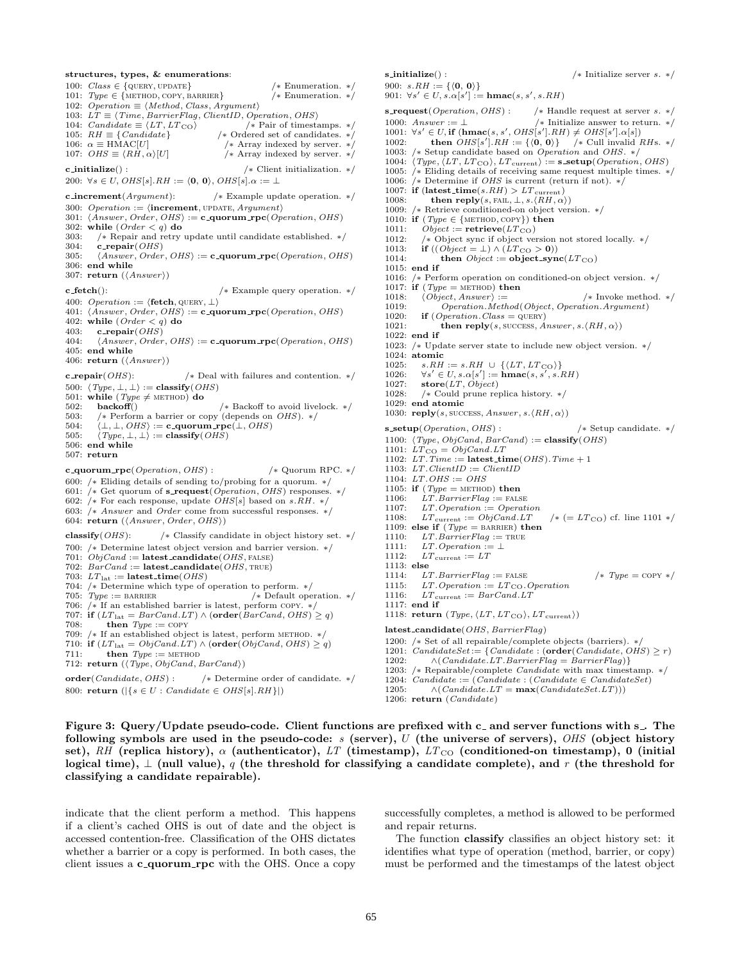structures, types, & enumerations: 100:  $Class \in \{ \text{Query}, \text{UPDATE} \}$  /\* Enumeration. \*/<br>101:  $Type \in \{ \text{METHOD}, \text{COPY}, \text{BARRER} \}$  /\* Enumeration. \*/ 101:  $Type \in \{METHOD, COPY, BARRIER\}$ 102:  $Operation \equiv \langle Method, Class, Argument \rangle$ 103:  $LT \equiv \langle Time, BarrierFlag, ClientID, Operation, OHS \rangle$ <br>104: *Candidate*  $\equiv \langle LT, LT_{CO} \rangle$  /\* Pair of timestamps. \*/ 104:  $Candidate \equiv \langle LT, LT_{CO} \rangle$ <br>105:  $RH \equiv \{Candidate\}$ 105:  $RH \equiv \{Candidate\}$  /\* Ordered set of candidates. \*/<br>106:  $\alpha \equiv \text{HMAC}[U]$  /\* Array indexed by server. \*/ 106:  $\alpha \equiv \text{HMAC}[U]$  /\* Array indexed by server. \*/<br>107:  $OHS \equiv \langle RH, \alpha \rangle [U]$  /\* Array indexed by server. \*/  $/*$  Array indexed by server. ∗/  $c \text{-} \text{initialize}()$ : /\* Client initialization. \*/ 200:  $\forall s \in U$ ,  $OHS[s]$ . $RH := \langle 0, 0 \rangle$ ,  $OHS[s]$ . $\alpha := \bot$ c\_increment( $Argument$ ): /\* Example update operation. \*/ 300: Operation :=  $\langle$ **increment**, UPDATE, Argument $\rangle$ 301:  $\langle Answer, Order, OHS \rangle := \text{c_quorum } \text{rpc}(Operation, OHS)$ 302: while  $(Order < q)$  do 303: /∗ Repair and retry update until candidate established. \*/<br>304: **c\_repair**(*OHS*)  $c$  repair $(OHS)$ 305:  $\langle Answer, Order, OHS \rangle := \textbf{c} \textbf{quorum } \textbf{rpc}(Operation, OHS)$ 306: end while 307: return  $(\langle Answer\rangle)$ c fetch(): /∗ Example query operation. ∗/ 400:  $Operation := \langle \textbf{fetch}, \text{ouERV}, \perp \rangle$ 401:  $\langle Answer, Order, OHS \rangle := \textbf{c_quorum\_rpc}(Operation, OHS)$ 402: while  $(Order < q)$  do 403: **c\_repair** $(OHS)$ <br>404: *(Answer, Order*)  $\langle Answer, Order, OHS \rangle := \textbf{c_quorum\_rpc}(Operation, OHS)$ 405: end while 406: return  $(\langle Answer\rangle)$ c\_repair( $OHS$ ):  $/*$  Deal with failures and contention.  $*/$ 500:  $\langle Type, \perp, \perp \rangle := \textbf{classify}(OHS)$ 501: while  $(Type \neq \text{METHOD})$  do 502: backoff() /∗ Backoff to avoid livelock. ∗/ 503: /∗ Perform a barrier or copy (depends on *OHS*). \*/<br>504:  $\langle \perp, \perp, OHS \rangle := c$ **quorum\_rpc**( $\perp, OHS$ ) 504:  $\langle \perp, \perp, OHS \rangle := \mathbf{c}$  quorum rpc( $\perp, OHS$ )<br>505:  $\langle Type, \perp, \perp \rangle := \mathbf{classify}(OHS)$  $\langle \mathit{Type}, \bot, \bot \rangle := \mathbf{classify}(\mathit{OHS})$ 506: end while 507: return c\_quorum\_rpc( $Operation, OHS$ ) : /\* Quorum RPC. \*/ 600: /∗ Eliding details of sending to/probing for a quorum. ∗/ 601: /∗ Get quorum of s request(Operation, OHS) responses. ∗/ 602: /\* For each response, update  $OHS[s]$  based on s.RH. \*/ 603: /∗ Answer and Order come from successful responses. ∗/ 604: return  $(\langle Answer, Order, OHS \rangle)$ classify( $OHS$ ): /\* Classify candidate in object history set. \*/ 700: /∗ Determine latest object version and barrier version. ∗/ 701:  $ObjCand :=$  latest candidate( $OHS$ , FALSE) 702:  $BarC and :=$ **latest\_candidate**( $OHS$ , TRUE) 703:  $LT_{\text{lat}} :=$  latest\_time(*OHS*) 704: /∗ Determine which type of operation to perform. ∗/ 705:  $Type := BARRIER$  /\* Default operation. \*/<br>706: /∗ If an established barrier is latest. perform COPY. \*/ 706: /∗ If an established barrier is latest, perform COPY. ∗/<br>707: **if**  $(LT_{\text{lat}} = BarCand \cdot LT) \wedge (\text{order}(BarCand, OHS))$ if  $(LT_{\text{lat}} = BarCand.LT) \wedge (\text{order}(\hat{B}arCand,OHS) \geq q)$ 708: **then**  $Type := \text{Copy}$ <br>709: /\* If an established obje \* If an established object is latest, perform METHOD. \*, 710: if  $(LT_{\text{lat}} = ObjCand, \overline{LT}) \wedge (\text{order}(ObjCand, OHS) \geq q)$ <br>711: then  $Twpe := \text{METHOD}$ then  $Type := \text{METHOD}$ 712: return  $(\langle Type, ObjCand, BarCand \rangle)$ order(Candidate, OHS) : /∗ Determine order of candidate. ∗/

- s\_**initialize**() : /∗ Initialize server s. ∗/ 900:  $s.RH := \{\langle 0, 0 \rangle\}$ 901:  $\forall s' \in U$ ,  $s.\alpha[s'] := \mathbf{hmac}(s, s', s.RH)$ s\_request( $Operation, OHS$ ): /\* Handle request at server s. \*/ 1000:  $Answer := \bot$  /\* Initialize answer to return. \*/<br>1001:  $\forall s' \in U$ , if (hmac(s, s', OHS[s'].RH)  $\neq$  OHS[s']. $\alpha[s]$ ]<br>1002: **then** OHS[s'].RH := {\**0, 0**} /\* Cull invalid RHs. \*/ 1003: /∗ Setup candidate based on *Operation* and *OHS.* \*/<br>1004:  $\langle True, \langle LT, \overline{LT_{CO}} \rangle, \overline{LT_{current}} \rangle :=$  **s\_setup**(*Operation*).  $\langle \textit{Type}, \langle \textit{LT}, \textit{LT}_{\text{CO}} \rangle, \textit{LT}_{\text{current}} \rangle := \textbf{s\_setup}(\textit{Operation}, \textit{OHS})$ 1005: /∗ Eliding details of receiving same request multiple times. ∗/ 1006: /∗ Determine if OHS is current (return if not). ∗/ 1007: if (latest\_time(s.RH) >  $LT_{\text{current}}$ ) 1008: **then reply** $(s, \text{FAIL}, \perp, s.\langle RH, \alpha \rangle)$ 1009: /∗ Retrieve conditioned-on object version. ∗/ 1010: if  $(\text{Type } \in \{\text{METHOD}, \text{COPY}\})$  then 1011: Object := **retrieve**( $LT_{\text{CO}}$ )<br>1012: /\* Object sync if object yet 1012: /∗ Object sync if object version not stored locally. ∗/ 1013: **if**  $((Object = \bot) \land (LT_{CO} > 0))$ <br>1014: **then** *Object* := **object** syn then  $Object := \textbf{object}.\textbf{sync}(LT_{\textbf{CO}})$ 1015: **end if**  $1016$ : /\* Pers /\* Perform operation on conditioned-on object version. \*/ 1017: if  $(\textit{Type} = \text{METHOD})$  then 1018:  $\langle Object, Answer \rangle :=$  /∗ Invoke method. ∗/<br>1019: Operation. Method (Object, Operation. Argument) 1019: Operation. $Method(Object, Operation.Argument)$ <br>1020: **if** (*Operation.Class* =  $Query$ ) 1020: **if**  $(\text{Operation}.\text{Class} = \text{Query})$ <br>1021: **then reply** $(s, \text{success}, A)$ then reply(s, success,  $\overline{Answer, s.} \langle RH, \alpha \rangle)$ 1022: end if 1023: /∗ Update server state to include new object version. ∗/ 1024:  $\frac{atomic}{s.RH}$  $s.RH := s.RH \cup \{ \langle LT, LT_{CO} \rangle \}$  $1026: 1027:$  $\ell \in U$ ,  $s.\alpha[s'] := \textbf{hmac}(s, s', s.RH)$ 1027: store $(LT, Object)$ <br>1028: /\* Could prime res /∗ Could prune replica history. ∗/ 1029: end atomic 1030:  $\mathbf{reply}(s, \text{success}, \text{Answer}, s.\langle \text{RH}, \alpha \rangle)$ s\_setup( $Operation, OHS$ ): /\* Setup candidate. \*/ 1100:  $\langle Type, ObjCand, BarCand \rangle := \textbf{classify}(OHS)$ 1101:  $LT_{\text{CO}} = ObjCand.LT$ <br>1102:  $LT. Time := \text{latest_time}(OHS). Time + 1$ 1103:  $LT$ . ClientID := ClientID 1104:  $LT.OHS := OHS$ 1105: if  $(\textit{Type} = \text{METHOD})$  then 1106:  $\hat{L}T$ . BarrierFlag := FALSE 1107:  $LT. Operation := Operation$ <br>1108:  $LT_{current} := ObjectCand.LT$ 1108:  $LT_{\text{current}} := ObjCand.LT$  /\* (=  $LT_{\text{CO}}$ ) cf. line 1101 \*/ 1109: else if  $(\textit{Type} = \textit{BARRIER})$  then 1110:  $LT.BarrierFlag := TRUE$ 1111:  $LT. Operation := \perp$ 1112:  $LT_{\text{current}} := LT$ 1113: else 1114: LT.BarrierFlag := FALSE /\* Type = COPY \*/<br>1115: LT.Operation := LT.C.Operation  $LT. Operation := LT_{CO}. Operation$ 1116:  $LT_{\text{current}} := BarC and .LT$ 1117: end if
- 1118: return  $(\mathit{Type}, \langle LT, LT_{\text{CO}}\rangle, \mathit{LT}_\text{current}\rangle)$
- latest candidate(OHS, BarrierFlag)
- 1200: /∗ Set of all repairable/complete objects (barriers). ∗/
- 1201: *CandidateSet* := {*Candidate* : (**order**(*Candidate*, *OHS*)  $\geq r$ )<br>1202:  $\wedge$  (*Candidate*, *LT*, *BarrierFlag* = *BarrierFlag*)}
- 1202:  $\wedge$ (Candidate.LT.BarrierFlag = BarrierFlag)}<br>1203: /\* Repairable/complete Candidate with max times
- 1203: /\* Repairable/complete *Candidate* with max timestamp. \*/<br>1204: *Candidate* := (*Candidate* : (*Candidate*  $\in$  *CandidateSet*)
- 1204: Candidate := (Candidate : (Candidate ∈ CandidateSet)<br>1205:  $\wedge$ (Candidate.LT = **max**(CandidateSet.LT))  $\wedge (Candidate.LT = \max(CandidateSet.LT)))$
- 1206: return (Candidate)

Figure 3: Query/Update pseudo-code. Client functions are prefixed with c and server functions with s. The following symbols are used in the pseudo-code:  $s$  (server),  $U$  (the universe of servers),  $O$ HS (object history set), RH (replica history),  $\alpha$  (authenticator), LT (timestamp), LT<sub>CO</sub> (conditioned-on timestamp), 0 (initial logical time),  $\perp$  (null value), q (the threshold for classifying a candidate complete), and r (the threshold for classifying a candidate repairable).

indicate that the client perform a method. This happens if a client's cached OHS is out of date and the object is accessed contention-free. Classification of the OHS dictates whether a barrier or a copy is performed. In both cases, the client issues a **c\_quorum\_rpc** with the OHS. Once a copy

800: return  $(|\{s \in U : \text{Candidate} \in \text{OHS}[s].RH\}|)$ 

successfully completes, a method is allowed to be performed and repair returns.

The function classify classifies an object history set: it identifies what type of operation (method, barrier, or copy) must be performed and the timestamps of the latest object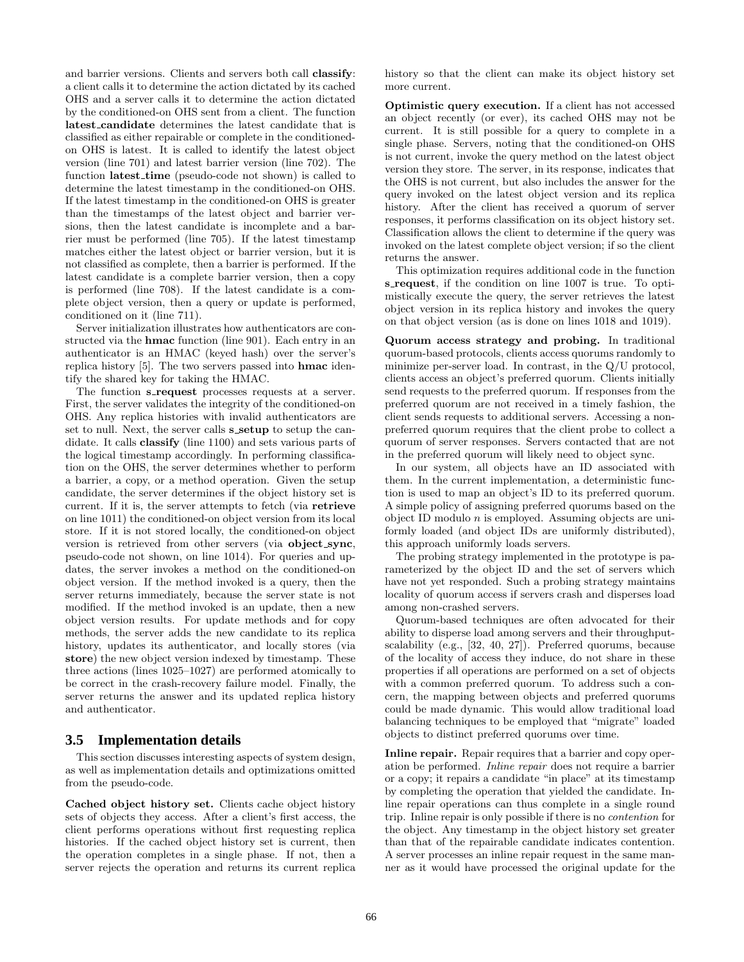and barrier versions. Clients and servers both call classify: a client calls it to determine the action dictated by its cached OHS and a server calls it to determine the action dictated by the conditioned-on OHS sent from a client. The function latest candidate determines the latest candidate that is classified as either repairable or complete in the conditionedon OHS is latest. It is called to identify the latest object version (line 701) and latest barrier version (line 702). The function latest time (pseudo-code not shown) is called to determine the latest timestamp in the conditioned-on OHS. If the latest timestamp in the conditioned-on OHS is greater than the timestamps of the latest object and barrier versions, then the latest candidate is incomplete and a barrier must be performed (line 705). If the latest timestamp matches either the latest object or barrier version, but it is not classified as complete, then a barrier is performed. If the latest candidate is a complete barrier version, then a copy is performed (line 708). If the latest candidate is a complete object version, then a query or update is performed, conditioned on it (line 711).

Server initialization illustrates how authenticators are constructed via the hmac function (line 901). Each entry in an authenticator is an HMAC (keyed hash) over the server's replica history [5]. The two servers passed into hmac identify the shared key for taking the HMAC.

The function **s\_request** processes requests at a server. First, the server validates the integrity of the conditioned-on OHS. Any replica histories with invalid authenticators are set to null. Next, the server calls **s** setup to setup the candidate. It calls classify (line 1100) and sets various parts of the logical timestamp accordingly. In performing classification on the OHS, the server determines whether to perform a barrier, a copy, or a method operation. Given the setup candidate, the server determines if the object history set is current. If it is, the server attempts to fetch (via retrieve on line 1011) the conditioned-on object version from its local store. If it is not stored locally, the conditioned-on object version is retrieved from other servers (via object sync, pseudo-code not shown, on line 1014). For queries and updates, the server invokes a method on the conditioned-on object version. If the method invoked is a query, then the server returns immediately, because the server state is not modified. If the method invoked is an update, then a new object version results. For update methods and for copy methods, the server adds the new candidate to its replica history, updates its authenticator, and locally stores (via store) the new object version indexed by timestamp. These three actions (lines 1025–1027) are performed atomically to be correct in the crash-recovery failure model. Finally, the server returns the answer and its updated replica history and authenticator.

#### **3.5 Implementation details**

This section discusses interesting aspects of system design, as well as implementation details and optimizations omitted from the pseudo-code.

Cached object history set. Clients cache object history sets of objects they access. After a client's first access, the client performs operations without first requesting replica histories. If the cached object history set is current, then the operation completes in a single phase. If not, then a server rejects the operation and returns its current replica history so that the client can make its object history set more current.

Optimistic query execution. If a client has not accessed an object recently (or ever), its cached OHS may not be current. It is still possible for a query to complete in a single phase. Servers, noting that the conditioned-on OHS is not current, invoke the query method on the latest object version they store. The server, in its response, indicates that the OHS is not current, but also includes the answer for the query invoked on the latest object version and its replica history. After the client has received a quorum of server responses, it performs classification on its object history set. Classification allows the client to determine if the query was invoked on the latest complete object version; if so the client returns the answer.

This optimization requires additional code in the function s request, if the condition on line 1007 is true. To optimistically execute the query, the server retrieves the latest object version in its replica history and invokes the query on that object version (as is done on lines 1018 and 1019).

Quorum access strategy and probing. In traditional quorum-based protocols, clients access quorums randomly to minimize per-server load. In contrast, in the Q/U protocol, clients access an object's preferred quorum. Clients initially send requests to the preferred quorum. If responses from the preferred quorum are not received in a timely fashion, the client sends requests to additional servers. Accessing a nonpreferred quorum requires that the client probe to collect a quorum of server responses. Servers contacted that are not in the preferred quorum will likely need to object sync.

In our system, all objects have an ID associated with them. In the current implementation, a deterministic function is used to map an object's ID to its preferred quorum. A simple policy of assigning preferred quorums based on the object ID modulo n is employed. Assuming objects are uniformly loaded (and object IDs are uniformly distributed), this approach uniformly loads servers.

The probing strategy implemented in the prototype is parameterized by the object ID and the set of servers which have not yet responded. Such a probing strategy maintains locality of quorum access if servers crash and disperses load among non-crashed servers.

Quorum-based techniques are often advocated for their ability to disperse load among servers and their throughputscalability (e.g., [32, 40, 27]). Preferred quorums, because of the locality of access they induce, do not share in these properties if all operations are performed on a set of objects with a common preferred quorum. To address such a concern, the mapping between objects and preferred quorums could be made dynamic. This would allow traditional load balancing techniques to be employed that "migrate" loaded objects to distinct preferred quorums over time.

Inline repair. Repair requires that a barrier and copy operation be performed. Inline repair does not require a barrier or a copy; it repairs a candidate "in place" at its timestamp by completing the operation that yielded the candidate. Inline repair operations can thus complete in a single round trip. Inline repair is only possible if there is no contention for the object. Any timestamp in the object history set greater than that of the repairable candidate indicates contention. A server processes an inline repair request in the same manner as it would have processed the original update for the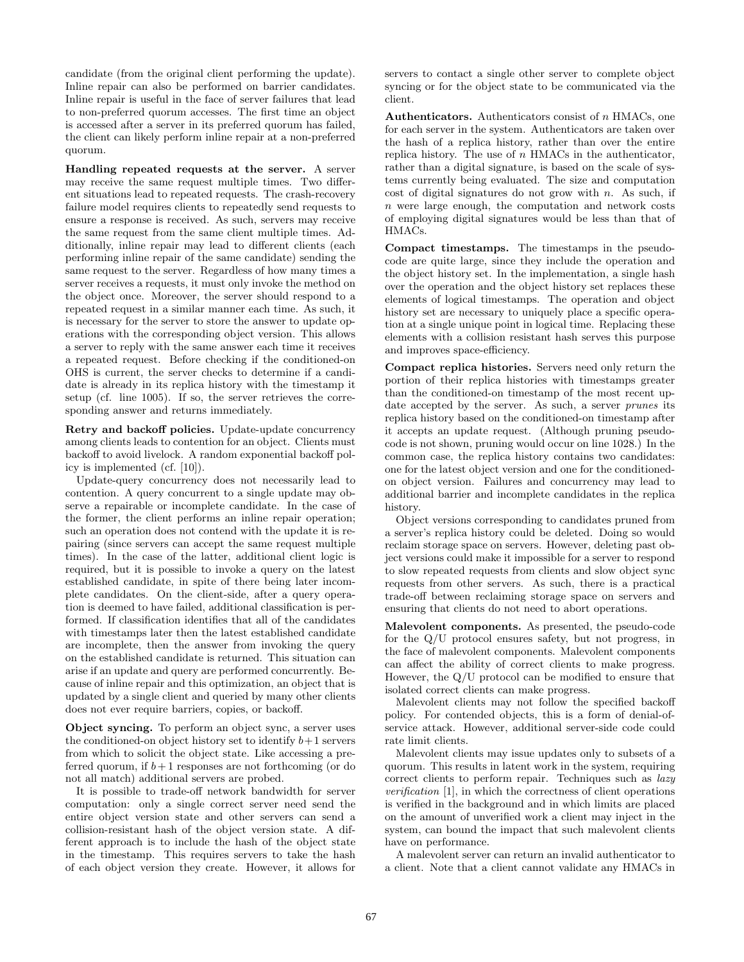candidate (from the original client performing the update). Inline repair can also be performed on barrier candidates. Inline repair is useful in the face of server failures that lead to non-preferred quorum accesses. The first time an object is accessed after a server in its preferred quorum has failed, the client can likely perform inline repair at a non-preferred quorum.

Handling repeated requests at the server. A server may receive the same request multiple times. Two different situations lead to repeated requests. The crash-recovery failure model requires clients to repeatedly send requests to ensure a response is received. As such, servers may receive the same request from the same client multiple times. Additionally, inline repair may lead to different clients (each performing inline repair of the same candidate) sending the same request to the server. Regardless of how many times a server receives a requests, it must only invoke the method on the object once. Moreover, the server should respond to a repeated request in a similar manner each time. As such, it is necessary for the server to store the answer to update operations with the corresponding object version. This allows a server to reply with the same answer each time it receives a repeated request. Before checking if the conditioned-on OHS is current, the server checks to determine if a candidate is already in its replica history with the timestamp it setup (cf. line 1005). If so, the server retrieves the corresponding answer and returns immediately.

Retry and backoff policies. Update-update concurrency among clients leads to contention for an object. Clients must backoff to avoid livelock. A random exponential backoff policy is implemented (cf. [10]).

Update-query concurrency does not necessarily lead to contention. A query concurrent to a single update may observe a repairable or incomplete candidate. In the case of the former, the client performs an inline repair operation; such an operation does not contend with the update it is repairing (since servers can accept the same request multiple times). In the case of the latter, additional client logic is required, but it is possible to invoke a query on the latest established candidate, in spite of there being later incomplete candidates. On the client-side, after a query operation is deemed to have failed, additional classification is performed. If classification identifies that all of the candidates with timestamps later then the latest established candidate are incomplete, then the answer from invoking the query on the established candidate is returned. This situation can arise if an update and query are performed concurrently. Because of inline repair and this optimization, an object that is updated by a single client and queried by many other clients does not ever require barriers, copies, or backoff.

Object syncing. To perform an object sync, a server uses the conditioned-on object history set to identify  $b+1$  servers from which to solicit the object state. Like accessing a preferred quorum, if  $b+1$  responses are not forthcoming (or do not all match) additional servers are probed.

It is possible to trade-off network bandwidth for server computation: only a single correct server need send the entire object version state and other servers can send a collision-resistant hash of the object version state. A different approach is to include the hash of the object state in the timestamp. This requires servers to take the hash of each object version they create. However, it allows for

servers to contact a single other server to complete object syncing or for the object state to be communicated via the client.

Authenticators. Authenticators consist of n HMACs, one for each server in the system. Authenticators are taken over the hash of a replica history, rather than over the entire replica history. The use of  $n$  HMACs in the authenticator, rather than a digital signature, is based on the scale of systems currently being evaluated. The size and computation cost of digital signatures do not grow with  $n$ . As such, if n were large enough, the computation and network costs of employing digital signatures would be less than that of HMACs.

Compact timestamps. The timestamps in the pseudocode are quite large, since they include the operation and the object history set. In the implementation, a single hash over the operation and the object history set replaces these elements of logical timestamps. The operation and object history set are necessary to uniquely place a specific operation at a single unique point in logical time. Replacing these elements with a collision resistant hash serves this purpose and improves space-efficiency.

Compact replica histories. Servers need only return the portion of their replica histories with timestamps greater than the conditioned-on timestamp of the most recent update accepted by the server. As such, a server prunes its replica history based on the conditioned-on timestamp after it accepts an update request. (Although pruning pseudocode is not shown, pruning would occur on line 1028.) In the common case, the replica history contains two candidates: one for the latest object version and one for the conditionedon object version. Failures and concurrency may lead to additional barrier and incomplete candidates in the replica history.

Object versions corresponding to candidates pruned from a server's replica history could be deleted. Doing so would reclaim storage space on servers. However, deleting past object versions could make it impossible for a server to respond to slow repeated requests from clients and slow object sync requests from other servers. As such, there is a practical trade-off between reclaiming storage space on servers and ensuring that clients do not need to abort operations.

Malevolent components. As presented, the pseudo-code for the Q/U protocol ensures safety, but not progress, in the face of malevolent components. Malevolent components can affect the ability of correct clients to make progress. However, the Q/U protocol can be modified to ensure that isolated correct clients can make progress.

Malevolent clients may not follow the specified backoff policy. For contended objects, this is a form of denial-ofservice attack. However, additional server-side code could rate limit clients.

Malevolent clients may issue updates only to subsets of a quorum. This results in latent work in the system, requiring correct clients to perform repair. Techniques such as lazy verification [1], in which the correctness of client operations is verified in the background and in which limits are placed on the amount of unverified work a client may inject in the system, can bound the impact that such malevolent clients have on performance.

A malevolent server can return an invalid authenticator to a client. Note that a client cannot validate any HMACs in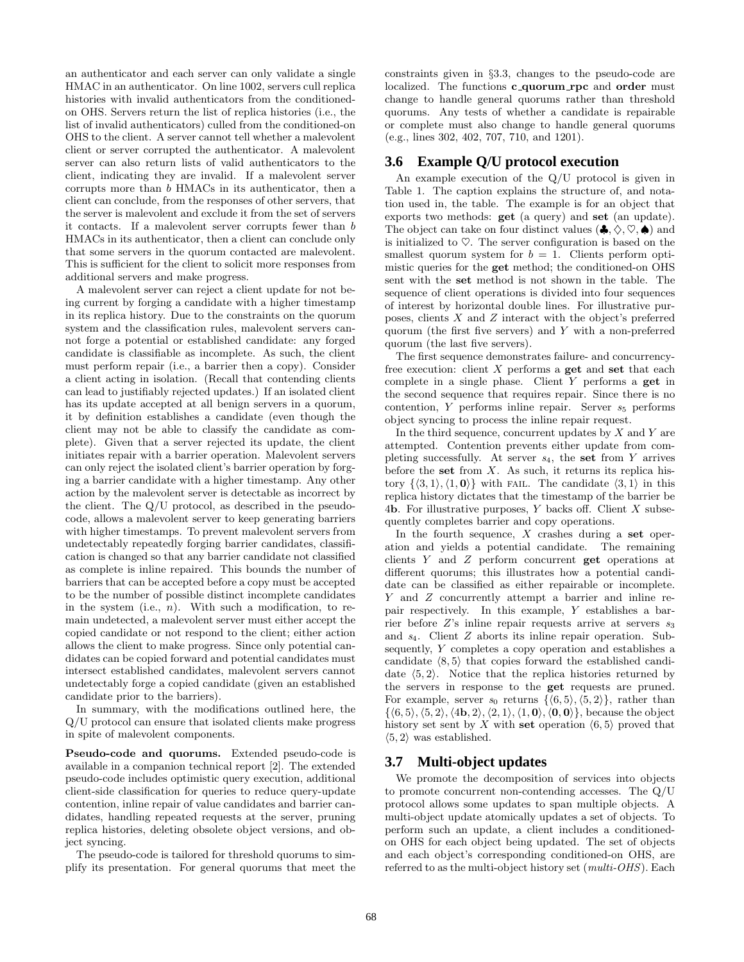an authenticator and each server can only validate a single HMAC in an authenticator. On line 1002, servers cull replica histories with invalid authenticators from the conditionedon OHS. Servers return the list of replica histories (i.e., the list of invalid authenticators) culled from the conditioned-on OHS to the client. A server cannot tell whether a malevolent client or server corrupted the authenticator. A malevolent server can also return lists of valid authenticators to the client, indicating they are invalid. If a malevolent server corrupts more than b HMACs in its authenticator, then a client can conclude, from the responses of other servers, that the server is malevolent and exclude it from the set of servers it contacts. If a malevolent server corrupts fewer than b HMACs in its authenticator, then a client can conclude only that some servers in the quorum contacted are malevolent. This is sufficient for the client to solicit more responses from additional servers and make progress.

A malevolent server can reject a client update for not being current by forging a candidate with a higher timestamp in its replica history. Due to the constraints on the quorum system and the classification rules, malevolent servers cannot forge a potential or established candidate: any forged candidate is classifiable as incomplete. As such, the client must perform repair (i.e., a barrier then a copy). Consider a client acting in isolation. (Recall that contending clients can lead to justifiably rejected updates.) If an isolated client has its update accepted at all benign servers in a quorum, it by definition establishes a candidate (even though the client may not be able to classify the candidate as complete). Given that a server rejected its update, the client initiates repair with a barrier operation. Malevolent servers can only reject the isolated client's barrier operation by forging a barrier candidate with a higher timestamp. Any other action by the malevolent server is detectable as incorrect by the client. The Q/U protocol, as described in the pseudocode, allows a malevolent server to keep generating barriers with higher timestamps. To prevent malevolent servers from undetectably repeatedly forging barrier candidates, classification is changed so that any barrier candidate not classified as complete is inline repaired. This bounds the number of barriers that can be accepted before a copy must be accepted to be the number of possible distinct incomplete candidates in the system (i.e.,  $n$ ). With such a modification, to remain undetected, a malevolent server must either accept the copied candidate or not respond to the client; either action allows the client to make progress. Since only potential candidates can be copied forward and potential candidates must intersect established candidates, malevolent servers cannot undetectably forge a copied candidate (given an established candidate prior to the barriers).

In summary, with the modifications outlined here, the Q/U protocol can ensure that isolated clients make progress in spite of malevolent components.

Pseudo-code and quorums. Extended pseudo-code is available in a companion technical report [2]. The extended pseudo-code includes optimistic query execution, additional client-side classification for queries to reduce query-update contention, inline repair of value candidates and barrier candidates, handling repeated requests at the server, pruning replica histories, deleting obsolete object versions, and object syncing.

The pseudo-code is tailored for threshold quorums to simplify its presentation. For general quorums that meet the constraints given in §3.3, changes to the pseudo-code are localized. The functions **c**-quorum rpc and order must change to handle general quorums rather than threshold quorums. Any tests of whether a candidate is repairable or complete must also change to handle general quorums (e.g., lines 302, 402, 707, 710, and 1201).

## **3.6 Example Q/U protocol execution**

An example execution of the Q/U protocol is given in Table 1. The caption explains the structure of, and notation used in, the table. The example is for an object that exports two methods: get (a query) and set (an update). The object can take on four distinct values ( $\clubsuit, \diamondsuit, \heartsuit, \spadesuit$ ) and is initialized to  $\heartsuit$ . The server configuration is based on the smallest quorum system for  $b = 1$ . Clients perform optimistic queries for the get method; the conditioned-on OHS sent with the set method is not shown in the table. The sequence of client operations is divided into four sequences of interest by horizontal double lines. For illustrative purposes, clients  $X$  and  $Z$  interact with the object's preferred quorum (the first five servers) and  $Y$  with a non-preferred quorum (the last five servers).

The first sequence demonstrates failure- and concurrencyfree execution: client  $X$  performs a get and set that each complete in a single phase. Client Y performs a get in the second sequence that requires repair. Since there is no contention,  $Y$  performs inline repair. Server  $s<sub>5</sub>$  performs object syncing to process the inline repair request.

In the third sequence, concurrent updates by  $X$  and  $Y$  are attempted. Contention prevents either update from completing successfully. At server  $s_4$ , the set from Y arrives before the set from  $X$ . As such, it returns its replica history  $\{\langle 3, 1 \rangle, \langle 1, 0 \rangle\}$  with fail. The candidate  $\langle 3, 1 \rangle$  in this replica history dictates that the timestamp of the barrier be 4b. For illustrative purposes,  $Y$  backs off. Client  $X$  subsequently completes barrier and copy operations.

In the fourth sequence,  $X$  crashes during a set operation and yields a potential candidate. The remaining clients Y and Z perform concurrent get operations at different quorums; this illustrates how a potential candidate can be classified as either repairable or incomplete. Y and Z concurrently attempt a barrier and inline repair respectively. In this example, Y establishes a barrier before  $Z$ 's inline repair requests arrive at servers  $s_3$ and s4. Client Z aborts its inline repair operation. Subsequently, Y completes a copy operation and establishes a candidate  $\langle 8, 5 \rangle$  that copies forward the established candidate  $\langle 5, 2 \rangle$ . Notice that the replica histories returned by the servers in response to the get requests are pruned. For example, server s<sub>0</sub> returns  $\{\langle 6, 5 \rangle, \langle 5, 2 \rangle\}$ , rather than  $\{\langle 6, 5 \rangle, \langle 5, 2 \rangle, \langle 4\mathbf{b}, 2 \rangle, \langle 2, 1 \rangle, \langle 1, \mathbf{0} \rangle, \langle \mathbf{0}, \mathbf{0} \rangle\},$  because the object history set sent by X with set operation  $(6, 5)$  proved that  $\langle 5, 2 \rangle$  was established.

# **3.7 Multi-object updates**

We promote the decomposition of services into objects to promote concurrent non-contending accesses. The Q/U protocol allows some updates to span multiple objects. A multi-object update atomically updates a set of objects. To perform such an update, a client includes a conditionedon OHS for each object being updated. The set of objects and each object's corresponding conditioned-on OHS, are referred to as the multi-object history set (*multi-OHS*). Each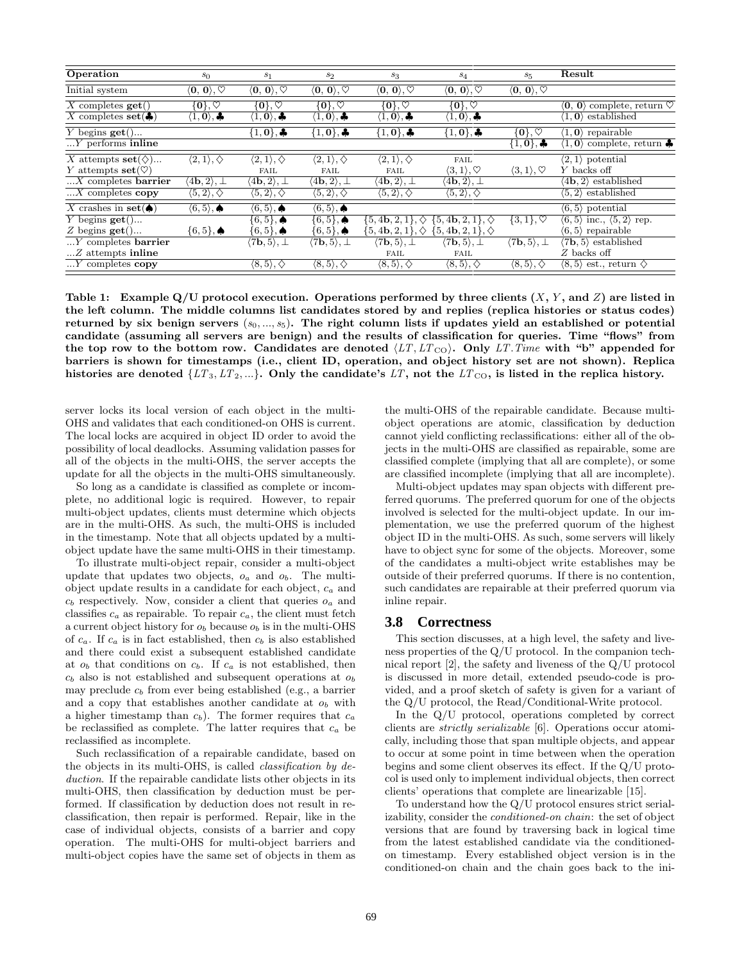| Operation                                                                      | $s_0$                                                 | s <sub>1</sub>                                       | $s_2$                                            | $s_3$                                                                             | $s_4$                                                          | $s_{5}$                                              | Result                                                                         |
|--------------------------------------------------------------------------------|-------------------------------------------------------|------------------------------------------------------|--------------------------------------------------|-----------------------------------------------------------------------------------|----------------------------------------------------------------|------------------------------------------------------|--------------------------------------------------------------------------------|
| Initial system                                                                 | $\langle \mathbf{0},\,\mathbf{0}\rangle, \heartsuit$  | $\langle \mathbf{0},\,\mathbf{0}\rangle, \heartsuit$ | $\langle 0, 0 \rangle, \heartsuit$               | $\langle \mathbf{0},\,\mathbf{0}\rangle, \heartsuit$                              | $\langle \mathbf{0},\,\mathbf{0}\rangle, \heartsuit$           | $\langle \mathbf{0},\,\mathbf{0}\rangle, \heartsuit$ |                                                                                |
| $X$ completes $get()$                                                          | $\{0\}, \heartsuit$                                   | ಿ<br>$\{0\}$                                         | $\{0\}, \heartsuit$                              | $\{0\}, \heartsuit$                                                               | $\{\mathbf 0\}, \heartsuit$                                    |                                                      | complete, return $\heartsuit$<br>$\langle \mathbf{0},\,\mathbf{0}\rangle$      |
| X completes $set(\clubsuit)$                                                   | $\langle \overline{1}, {\bf 0} \rangle$ , $\clubsuit$ | $\langle 1,0\rangle$ , $\clubsuit$                   | $\langle 1,\mathbf{0}\rangle,$ a                 | $\langle 1, \mathbf{0} \rangle$ , &                                               | $\langle 1, \mathbf{0} \rangle,$ &                             |                                                      | established<br>$ 1,0\rangle$                                                   |
| Y begins $get()$                                                               |                                                       | $\{1, 0\}, \clubsuit$                                | $\{1,0\},\clubsuit$                              | $\{1,\mathbf{0}\},\clubsuit$                                                      | $\{1,0\},\clubsuit$                                            | $\{\mathbf 0\}, \heartsuit$                          | repairable<br>$\langle 1, \mathbf{0} \rangle$                                  |
| $Y$ performs inline                                                            |                                                       |                                                      |                                                  |                                                                                   |                                                                | $\{1,0\},\clubsuit$                                  | complete, return $\clubsuit$<br>$\langle 1, \mathbf{0} \rangle$                |
| X attempts $\textbf{set}(\diamondsuit)$<br>Y attempts $\text{set}(\heartsuit)$ | $\langle 2,1\rangle, \diamondsuit$                    | $\langle 2,1\rangle, \diamondsuit$<br>FAIL           | $\langle 2,1\rangle, \diamondsuit$<br>FAIL       | $\langle 2,1\rangle, \diamondsuit$<br>FAIL                                        | FAIL<br>$\langle 3,1\rangle, \heartsuit$                       | $\langle 3,1\rangle, \heartsuit$                     | $\langle 2,1 \rangle$ potential<br>Y backs off                                 |
| $X$ completes <b>barrier</b>                                                   | $\langle 4\mathbf{b},2\rangle$ , $\perp$              | $\langle 4\mathbf{b},2\rangle,\bot$                  | $\langle\mathrm{4b},2\rangle,\bot$               | $\langle 4\mathbf{b},2\rangle,\bot$                                               | $\langle 4\mathbf{b},2\rangle,\bot$                            |                                                      | $(4b, 2)$ established                                                          |
| $X$ completes copy                                                             | $\langle 5,2\rangle, \diamondsuit$                    | $\langle 5,2\rangle, \diamondsuit$                   | $\langle 5,2\rangle, \diamondsuit$               | $\langle 5,2\rangle, \diamondsuit$                                                | $\langle 5,2\rangle, \diamondsuit$                             |                                                      | established<br>$\langle 5,2\rangle$                                            |
| X crashes in set ( $\spadesuit$ )                                              | $\langle 6, 5 \rangle$ , $\spadesuit$                 | $\langle 6, 5 \rangle$ , $\spadesuit$                | $\langle 6,5 \rangle$ , $\spadesuit$             |                                                                                   |                                                                |                                                      | potential<br>$\langle 6, 5 \rangle$                                            |
| Y begins $get()$<br>Z begins $get()$                                           | $\{6,5\},\spadesuit$                                  | $\{6,5\},\spadesuit$<br>$\{6,5\},\spadesuit$         | $\{6,5\},\spadesuit$<br>$\{6,5\}$ , $\spadesuit$ | $\{5,4$ <b>b</b> , 2, 1 }, $\diamondsuit$<br>$\{5,4\mathbf{b},2,1\},\diamondsuit$ | $\{5, 4b, 2, 1\}, \diamondsuit$<br>$\{5,4b,2,1\},\diamondsuit$ | $\{3,1\}, \heartsuit$                                | $\langle 6, 5 \rangle$ inc., $\langle 5, 2 \rangle$ rep.<br>$(6,5)$ repairable |
| $Y$ completes <b>barrier</b>                                                   |                                                       | $\langle 7\mathbf{b},5\rangle,\perp$                 | $\langle 7\mathbf{b},5\rangle,\perp$             | $\langle 7\mathbf{b}, 5 \rangle, \perp$                                           | $\langle 7\mathbf{b},5\rangle,\perp$                           | $\langle 7\mathbf{b},5\rangle,\perp$                 | $(7b, 5)$ established                                                          |
| $Z$ attempts inline                                                            |                                                       |                                                      |                                                  | FAIL                                                                              | FAIL                                                           |                                                      | $Z$ backs off                                                                  |
| $Y$ completes copy                                                             |                                                       | $\langle 8, 5 \rangle, \diamondsuit$                 | $\langle 8, 5 \rangle, \diamondsuit$             | $\langle 8, 5 \rangle, \diamondsuit$                                              | $\langle 8, 5 \rangle, \overline{\diamondsuit}$                | $\langle 8, 5 \rangle, \diamondsuit$                 | $(8,5)$ est., return $\Diamond$                                                |

Table 1: Example  $Q/U$  protocol execution. Operations performed by three clients  $(X, Y, \text{ and } Z)$  are listed in the left column. The middle columns list candidates stored by and replies (replica histories or status codes) returned by six benign servers  $(s_0, ..., s_5)$ . The right column lists if updates yield an established or potential candidate (assuming all servers are benign) and the results of classification for queries. Time "flows" from the top row to the bottom row. Candidates are denoted  $\langle LT, LT_{\rm CO}\rangle$ . Only LT. Time with "b" appended for barriers is shown for timestamps (i.e., client ID, operation, and object history set are not shown). Replica histories are denoted  $\{LT_3, LT_2,...\}$ . Only the candidate's  $LT$ , not the  $LT_{\rm CO}$ , is listed in the replica history.

server locks its local version of each object in the multi-OHS and validates that each conditioned-on OHS is current. The local locks are acquired in object ID order to avoid the possibility of local deadlocks. Assuming validation passes for all of the objects in the multi-OHS, the server accepts the update for all the objects in the multi-OHS simultaneously.

So long as a candidate is classified as complete or incomplete, no additional logic is required. However, to repair multi-object updates, clients must determine which objects are in the multi-OHS. As such, the multi-OHS is included in the timestamp. Note that all objects updated by a multiobject update have the same multi-OHS in their timestamp.

To illustrate multi-object repair, consider a multi-object update that updates two objects,  $o_a$  and  $o_b$ . The multiobject update results in a candidate for each object,  $c_a$  and  $c_b$  respectively. Now, consider a client that queries  $o_a$  and classifies  $c_a$  as repairable. To repair  $c_a$ , the client must fetch a current object history for  $o<sub>b</sub>$  because  $o<sub>b</sub>$  is in the multi-OHS of  $c_a$ . If  $c_a$  is in fact established, then  $c_b$  is also established and there could exist a subsequent established candidate at  $o<sub>b</sub>$  that conditions on  $c<sub>b</sub>$ . If  $c<sub>a</sub>$  is not established, then  $c_b$  also is not established and subsequent operations at  $o_b$ may preclude  $c<sub>b</sub>$  from ever being established (e.g., a barrier and a copy that establishes another candidate at  $o<sub>b</sub>$  with a higher timestamp than  $c_b$ ). The former requires that  $c_a$ be reclassified as complete. The latter requires that  $c_a$  be reclassified as incomplete.

Such reclassification of a repairable candidate, based on the objects in its multi-OHS, is called classification by deduction. If the repairable candidate lists other objects in its multi-OHS, then classification by deduction must be performed. If classification by deduction does not result in reclassification, then repair is performed. Repair, like in the case of individual objects, consists of a barrier and copy operation. The multi-OHS for multi-object barriers and multi-object copies have the same set of objects in them as the multi-OHS of the repairable candidate. Because multiobject operations are atomic, classification by deduction cannot yield conflicting reclassifications: either all of the objects in the multi-OHS are classified as repairable, some are classified complete (implying that all are complete), or some are classified incomplete (implying that all are incomplete).

Multi-object updates may span objects with different preferred quorums. The preferred quorum for one of the objects involved is selected for the multi-object update. In our implementation, we use the preferred quorum of the highest object ID in the multi-OHS. As such, some servers will likely have to object sync for some of the objects. Moreover, some of the candidates a multi-object write establishes may be outside of their preferred quorums. If there is no contention, such candidates are repairable at their preferred quorum via inline repair.

#### **3.8 Correctness**

This section discusses, at a high level, the safety and liveness properties of the Q/U protocol. In the companion technical report [2], the safety and liveness of the Q/U protocol is discussed in more detail, extended pseudo-code is provided, and a proof sketch of safety is given for a variant of the Q/U protocol, the Read/Conditional-Write protocol.

In the Q/U protocol, operations completed by correct clients are strictly serializable [6]. Operations occur atomically, including those that span multiple objects, and appear to occur at some point in time between when the operation begins and some client observes its effect. If the Q/U protocol is used only to implement individual objects, then correct clients' operations that complete are linearizable [15].

To understand how the Q/U protocol ensures strict serializability, consider the conditioned-on chain: the set of object versions that are found by traversing back in logical time from the latest established candidate via the conditionedon timestamp. Every established object version is in the conditioned-on chain and the chain goes back to the ini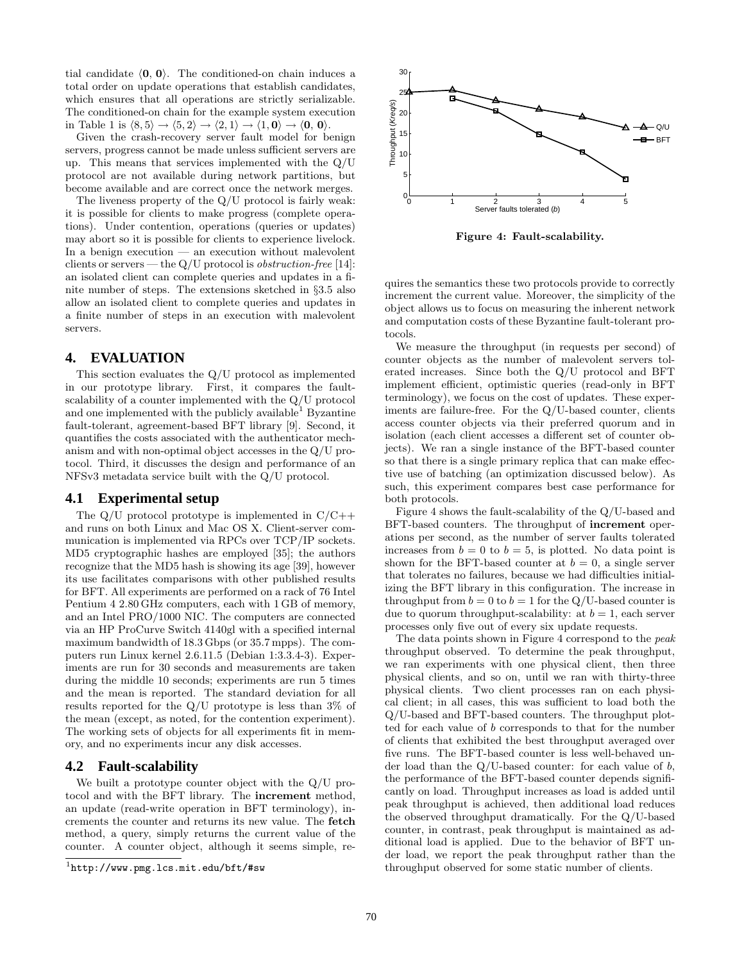tial candidate  $\langle 0, 0 \rangle$ . The conditioned-on chain induces a total order on update operations that establish candidates, which ensures that all operations are strictly serializable. The conditioned-on chain for the example system execution in Table 1 is  $\langle 8, 5 \rangle \rightarrow \langle 5, 2 \rangle \rightarrow \langle 2, 1 \rangle \rightarrow \langle 1, 0 \rangle \rightarrow \langle 0, 0 \rangle$ .

Given the crash-recovery server fault model for benign servers, progress cannot be made unless sufficient servers are up. This means that services implemented with the Q/U protocol are not available during network partitions, but become available and are correct once the network merges.

The liveness property of the Q/U protocol is fairly weak: it is possible for clients to make progress (complete operations). Under contention, operations (queries or updates) may abort so it is possible for clients to experience livelock. In a benign execution — an execution without malevolent clients or servers — the  $Q/U$  protocol is *obstruction-free* [14]: an isolated client can complete queries and updates in a finite number of steps. The extensions sketched in §3.5 also allow an isolated client to complete queries and updates in a finite number of steps in an execution with malevolent servers.

## **4. EVALUATION**

This section evaluates the Q/U protocol as implemented in our prototype library. First, it compares the faultscalability of a counter implemented with the Q/U protocol and one implemented with the publicly available  ${}^{1}$  Byzantine fault-tolerant, agreement-based BFT library [9]. Second, it quantifies the costs associated with the authenticator mechanism and with non-optimal object accesses in the Q/U protocol. Third, it discusses the design and performance of an NFSv3 metadata service built with the Q/U protocol.

#### **4.1 Experimental setup**

The  $Q/U$  protocol prototype is implemented in  $C/C++$ and runs on both Linux and Mac OS X. Client-server communication is implemented via RPCs over TCP/IP sockets. MD5 cryptographic hashes are employed [35]; the authors recognize that the MD5 hash is showing its age [39], however its use facilitates comparisons with other published results for BFT. All experiments are performed on a rack of 76 Intel Pentium 4 2.80 GHz computers, each with 1 GB of memory, and an Intel PRO/1000 NIC. The computers are connected via an HP ProCurve Switch 4140gl with a specified internal maximum bandwidth of 18.3 Gbps (or 35.7 mpps). The computers run Linux kernel 2.6.11.5 (Debian 1:3.3.4-3). Experiments are run for 30 seconds and measurements are taken during the middle 10 seconds; experiments are run 5 times and the mean is reported. The standard deviation for all results reported for the Q/U prototype is less than 3% of the mean (except, as noted, for the contention experiment). The working sets of objects for all experiments fit in memory, and no experiments incur any disk accesses.

#### **4.2 Fault-scalability**

We built a prototype counter object with the Q/U protocol and with the BFT library. The increment method, an update (read-write operation in BFT terminology), increments the counter and returns its new value. The fetch method, a query, simply returns the current value of the counter. A counter object, although it seems simple, re-



Figure 4: Fault-scalability.

quires the semantics these two protocols provide to correctly increment the current value. Moreover, the simplicity of the object allows us to focus on measuring the inherent network and computation costs of these Byzantine fault-tolerant protocols.

We measure the throughput (in requests per second) of counter objects as the number of malevolent servers tolerated increases. Since both the Q/U protocol and BFT implement efficient, optimistic queries (read-only in BFT terminology), we focus on the cost of updates. These experiments are failure-free. For the Q/U-based counter, clients access counter objects via their preferred quorum and in isolation (each client accesses a different set of counter objects). We ran a single instance of the BFT-based counter so that there is a single primary replica that can make effective use of batching (an optimization discussed below). As such, this experiment compares best case performance for both protocols.

Figure 4 shows the fault-scalability of the Q/U-based and BFT-based counters. The throughput of increment operations per second, as the number of server faults tolerated increases from  $b = 0$  to  $b = 5$ , is plotted. No data point is shown for the BFT-based counter at  $b = 0$ , a single server that tolerates no failures, because we had difficulties initializing the BFT library in this configuration. The increase in throughput from  $b = 0$  to  $b = 1$  for the Q/U-based counter is due to quorum throughput-scalability: at  $b = 1$ , each server processes only five out of every six update requests.

The data points shown in Figure 4 correspond to the peak throughput observed. To determine the peak throughput, we ran experiments with one physical client, then three physical clients, and so on, until we ran with thirty-three physical clients. Two client processes ran on each physical client; in all cases, this was sufficient to load both the Q/U-based and BFT-based counters. The throughput plotted for each value of b corresponds to that for the number of clients that exhibited the best throughput averaged over five runs. The BFT-based counter is less well-behaved under load than the  $Q/U$ -based counter: for each value of  $b$ , the performance of the BFT-based counter depends significantly on load. Throughput increases as load is added until peak throughput is achieved, then additional load reduces the observed throughput dramatically. For the Q/U-based counter, in contrast, peak throughput is maintained as additional load is applied. Due to the behavior of BFT under load, we report the peak throughput rather than the throughput observed for some static number of clients.

<sup>1</sup> http://www.pmg.lcs.mit.edu/bft/#sw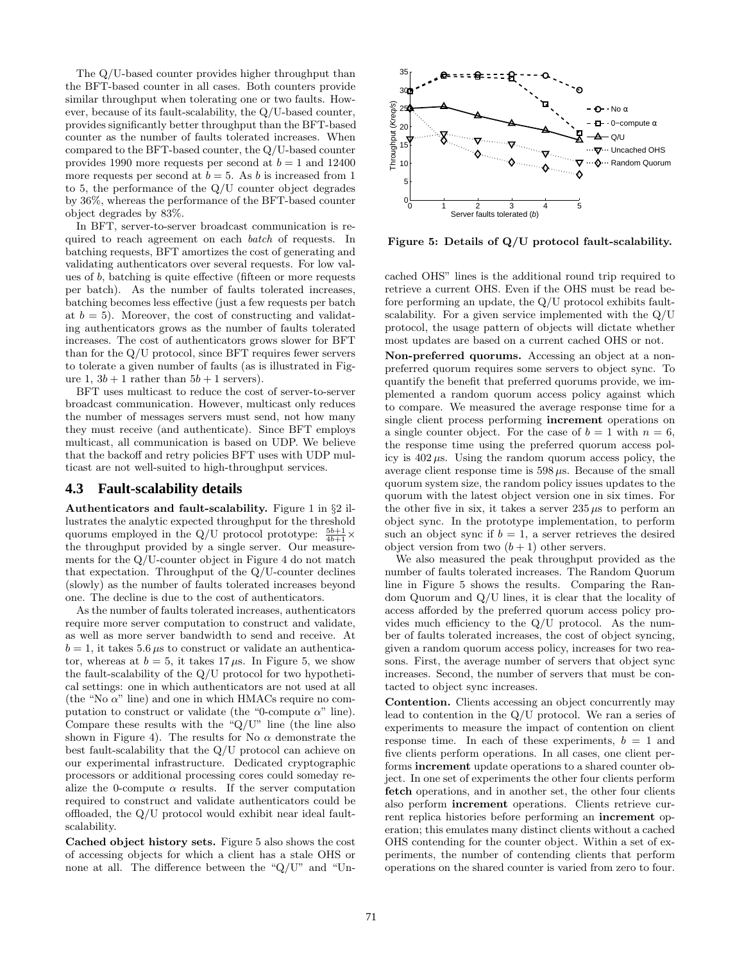The Q/U-based counter provides higher throughput than the BFT-based counter in all cases. Both counters provide similar throughput when tolerating one or two faults. However, because of its fault-scalability, the Q/U-based counter, provides significantly better throughput than the BFT-based counter as the number of faults tolerated increases. When compared to the BFT-based counter, the Q/U-based counter provides 1990 more requests per second at  $b = 1$  and 12400 more requests per second at  $b = 5$ . As b is increased from 1 to 5, the performance of the Q/U counter object degrades by 36%, whereas the performance of the BFT-based counter object degrades by 83%.

In BFT, server-to-server broadcast communication is required to reach agreement on each batch of requests. In batching requests, BFT amortizes the cost of generating and validating authenticators over several requests. For low values of b, batching is quite effective (fifteen or more requests per batch). As the number of faults tolerated increases, batching becomes less effective (just a few requests per batch at  $b = 5$ ). Moreover, the cost of constructing and validating authenticators grows as the number of faults tolerated increases. The cost of authenticators grows slower for BFT than for the Q/U protocol, since BFT requires fewer servers to tolerate a given number of faults (as is illustrated in Figure 1,  $3b + 1$  rather than  $5b + 1$  servers).

BFT uses multicast to reduce the cost of server-to-server broadcast communication. However, multicast only reduces the number of messages servers must send, not how many they must receive (and authenticate). Since BFT employs multicast, all communication is based on UDP. We believe that the backoff and retry policies BFT uses with UDP multicast are not well-suited to high-throughput services.

#### **4.3 Fault-scalability details**

Authenticators and fault-scalability. Figure 1 in §2 illustrates the analytic expected throughput for the threshold quorums employed in the Q/U protocol prototype:  $\frac{5b+1}{4b+1}\times$ the throughput provided by a single server. Our measurements for the Q/U-counter object in Figure 4 do not match that expectation. Throughput of the Q/U-counter declines (slowly) as the number of faults tolerated increases beyond one. The decline is due to the cost of authenticators.

As the number of faults tolerated increases, authenticators require more server computation to construct and validate, as well as more server bandwidth to send and receive. At  $b = 1$ , it takes 5.6  $\mu$ s to construct or validate an authenticator, whereas at  $b = 5$ , it takes 17  $\mu$ s. In Figure 5, we show the fault-scalability of the Q/U protocol for two hypothetical settings: one in which authenticators are not used at all (the "No  $\alpha$ " line) and one in which HMACs require no computation to construct or validate (the "0-compute  $\alpha$ " line). Compare these results with the " $Q/U$ " line (the line also shown in Figure 4). The results for No  $\alpha$  demonstrate the best fault-scalability that the Q/U protocol can achieve on our experimental infrastructure. Dedicated cryptographic processors or additional processing cores could someday realize the 0-compute  $\alpha$  results. If the server computation required to construct and validate authenticators could be offloaded, the Q/U protocol would exhibit near ideal faultscalability.

Cached object history sets. Figure 5 also shows the cost of accessing objects for which a client has a stale OHS or none at all. The difference between the "Q/U" and "Un-



Figure 5: Details of Q/U protocol fault-scalability.

cached OHS" lines is the additional round trip required to retrieve a current OHS. Even if the OHS must be read before performing an update, the Q/U protocol exhibits faultscalability. For a given service implemented with the Q/U protocol, the usage pattern of objects will dictate whether most updates are based on a current cached OHS or not.

Non-preferred quorums. Accessing an object at a nonpreferred quorum requires some servers to object sync. To quantify the benefit that preferred quorums provide, we implemented a random quorum access policy against which to compare. We measured the average response time for a single client process performing increment operations on a single counter object. For the case of  $b = 1$  with  $n = 6$ , the response time using the preferred quorum access policy is  $402 \mu s$ . Using the random quorum access policy, the average client response time is  $598 \,\mu s$ . Because of the small quorum system size, the random policy issues updates to the quorum with the latest object version one in six times. For the other five in six, it takes a server  $235 \mu s$  to perform an object sync. In the prototype implementation, to perform such an object sync if  $b = 1$ , a server retrieves the desired object version from two  $(b+1)$  other servers.

We also measured the peak throughput provided as the number of faults tolerated increases. The Random Quorum line in Figure 5 shows the results. Comparing the Random Quorum and Q/U lines, it is clear that the locality of access afforded by the preferred quorum access policy provides much efficiency to the Q/U protocol. As the number of faults tolerated increases, the cost of object syncing, given a random quorum access policy, increases for two reasons. First, the average number of servers that object sync increases. Second, the number of servers that must be contacted to object sync increases.

Contention. Clients accessing an object concurrently may lead to contention in the Q/U protocol. We ran a series of experiments to measure the impact of contention on client response time. In each of these experiments,  $b = 1$  and five clients perform operations. In all cases, one client performs increment update operations to a shared counter object. In one set of experiments the other four clients perform fetch operations, and in another set, the other four clients also perform increment operations. Clients retrieve current replica histories before performing an increment operation; this emulates many distinct clients without a cached OHS contending for the counter object. Within a set of experiments, the number of contending clients that perform operations on the shared counter is varied from zero to four.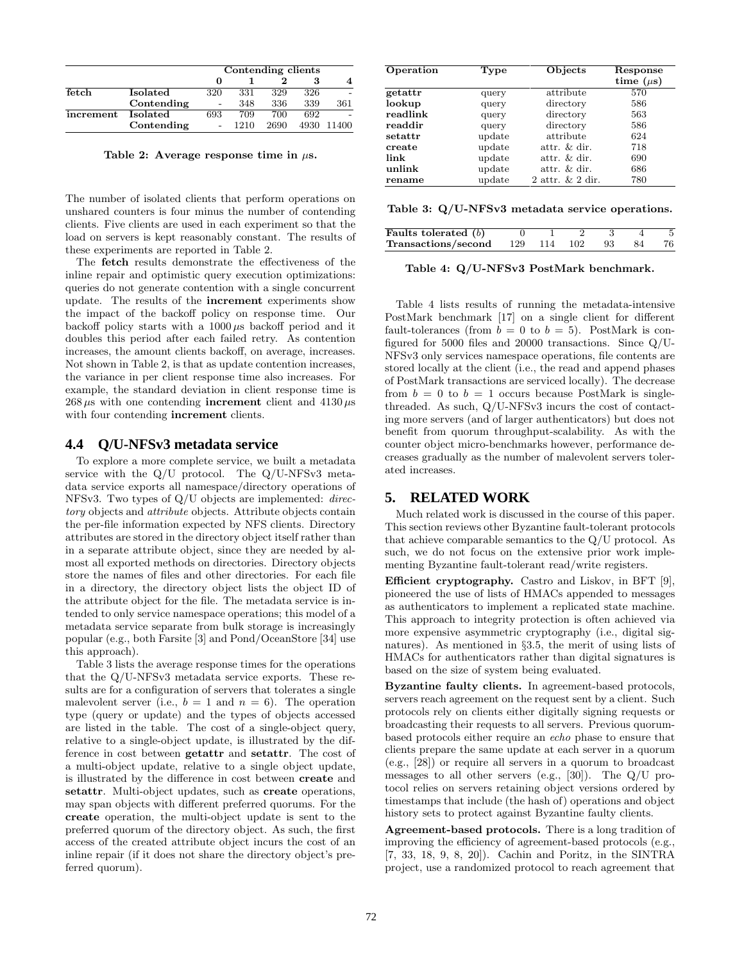|           |            | Contending clients       |      |      |      |       |
|-----------|------------|--------------------------|------|------|------|-------|
|           |            |                          |      |      |      | 4     |
| fetch     | Isolated   | 320                      | 331  | 329  | 326  |       |
|           | Contending | $\overline{\phantom{a}}$ | 348  | 336  | 339  | 361   |
| increment | Isolated   | 693                      | 709  | 700  | 692  |       |
|           | Contending | $\overline{\phantom{a}}$ | 1210 | 2690 | 4930 | 11400 |

Table 2: Average response time in  $\mu$ s.

The number of isolated clients that perform operations on unshared counters is four minus the number of contending clients. Five clients are used in each experiment so that the load on servers is kept reasonably constant. The results of these experiments are reported in Table 2.

The fetch results demonstrate the effectiveness of the inline repair and optimistic query execution optimizations: queries do not generate contention with a single concurrent update. The results of the increment experiments show the impact of the backoff policy on response time. Our backoff policy starts with a  $1000 \mu s$  backoff period and it doubles this period after each failed retry. As contention increases, the amount clients backoff, on average, increases. Not shown in Table 2, is that as update contention increases, the variance in per client response time also increases. For example, the standard deviation in client response time is 268  $\mu$ s with one contending **increment** client and 4130  $\mu$ s with four contending increment clients.

#### **4.4 Q/U-NFSv3 metadata service**

To explore a more complete service, we built a metadata service with the Q/U protocol. The Q/U-NFSv3 metadata service exports all namespace/directory operations of NFSv3. Two types of Q/U objects are implemented: directory objects and attribute objects. Attribute objects contain the per-file information expected by NFS clients. Directory attributes are stored in the directory object itself rather than in a separate attribute object, since they are needed by almost all exported methods on directories. Directory objects store the names of files and other directories. For each file in a directory, the directory object lists the object ID of the attribute object for the file. The metadata service is intended to only service namespace operations; this model of a metadata service separate from bulk storage is increasingly popular (e.g., both Farsite [3] and Pond/OceanStore [34] use this approach).

Table 3 lists the average response times for the operations that the Q/U-NFSv3 metadata service exports. These results are for a configuration of servers that tolerates a single malevolent server (i.e.,  $b = 1$  and  $n = 6$ ). The operation type (query or update) and the types of objects accessed are listed in the table. The cost of a single-object query, relative to a single-object update, is illustrated by the difference in cost between getattr and setattr. The cost of a multi-object update, relative to a single object update, is illustrated by the difference in cost between create and setattr. Multi-object updates, such as create operations, may span objects with different preferred quorums. For the create operation, the multi-object update is sent to the preferred quorum of the directory object. As such, the first access of the created attribute object incurs the cost of an inline repair (if it does not share the directory object's preferred quorum).

| Operation | Type   | Objects                    | Response<br>time $(\mu s)$ |  |  |
|-----------|--------|----------------------------|----------------------------|--|--|
| getattr   | query  | attribute                  | 570                        |  |  |
| lookup    | query  | directory                  | 586                        |  |  |
| readlink  | query  | directory                  | 563                        |  |  |
| readdir   | query  | directory                  | 586                        |  |  |
| setattr   | update | attribute                  | 624                        |  |  |
| create    | update | attr. & dir.               | 718                        |  |  |
| link      | update | attr. $\&$ dir.            | 690                        |  |  |
| unlink    | update | attr. $&$ dir.             | 686                        |  |  |
| rename    | update | 2 attr. $& 2 \text{ dir.}$ | 780                        |  |  |

Table 3: Q/U-NFSv3 metadata service operations.

| Faults tolerated $(b)$ |                   |  |  |  |
|------------------------|-------------------|--|--|--|
| Transactions/second    | 129 114 102 93 84 |  |  |  |

Table 4: Q/U-NFSv3 PostMark benchmark.

Table 4 lists results of running the metadata-intensive PostMark benchmark [17] on a single client for different fault-tolerances (from  $b = 0$  to  $b = 5$ ). PostMark is configured for 5000 files and 20000 transactions. Since Q/U-NFSv3 only services namespace operations, file contents are stored locally at the client (i.e., the read and append phases of PostMark transactions are serviced locally). The decrease from  $b = 0$  to  $b = 1$  occurs because PostMark is singlethreaded. As such, Q/U-NFSv3 incurs the cost of contacting more servers (and of larger authenticators) but does not benefit from quorum throughput-scalability. As with the counter object micro-benchmarks however, performance decreases gradually as the number of malevolent servers tolerated increases.

#### **5. RELATED WORK**

Much related work is discussed in the course of this paper. This section reviews other Byzantine fault-tolerant protocols that achieve comparable semantics to the Q/U protocol. As such, we do not focus on the extensive prior work implementing Byzantine fault-tolerant read/write registers.

Efficient cryptography. Castro and Liskov, in BFT [9], pioneered the use of lists of HMACs appended to messages as authenticators to implement a replicated state machine. This approach to integrity protection is often achieved via more expensive asymmetric cryptography (i.e., digital signatures). As mentioned in §3.5, the merit of using lists of HMACs for authenticators rather than digital signatures is based on the size of system being evaluated.

Byzantine faulty clients. In agreement-based protocols, servers reach agreement on the request sent by a client. Such protocols rely on clients either digitally signing requests or broadcasting their requests to all servers. Previous quorumbased protocols either require an echo phase to ensure that clients prepare the same update at each server in a quorum (e.g., [28]) or require all servers in a quorum to broadcast messages to all other servers (e.g., [30]). The Q/U protocol relies on servers retaining object versions ordered by timestamps that include (the hash of) operations and object history sets to protect against Byzantine faulty clients.

Agreement-based protocols. There is a long tradition of improving the efficiency of agreement-based protocols (e.g., [7, 33, 18, 9, 8, 20]). Cachin and Poritz, in the SINTRA project, use a randomized protocol to reach agreement that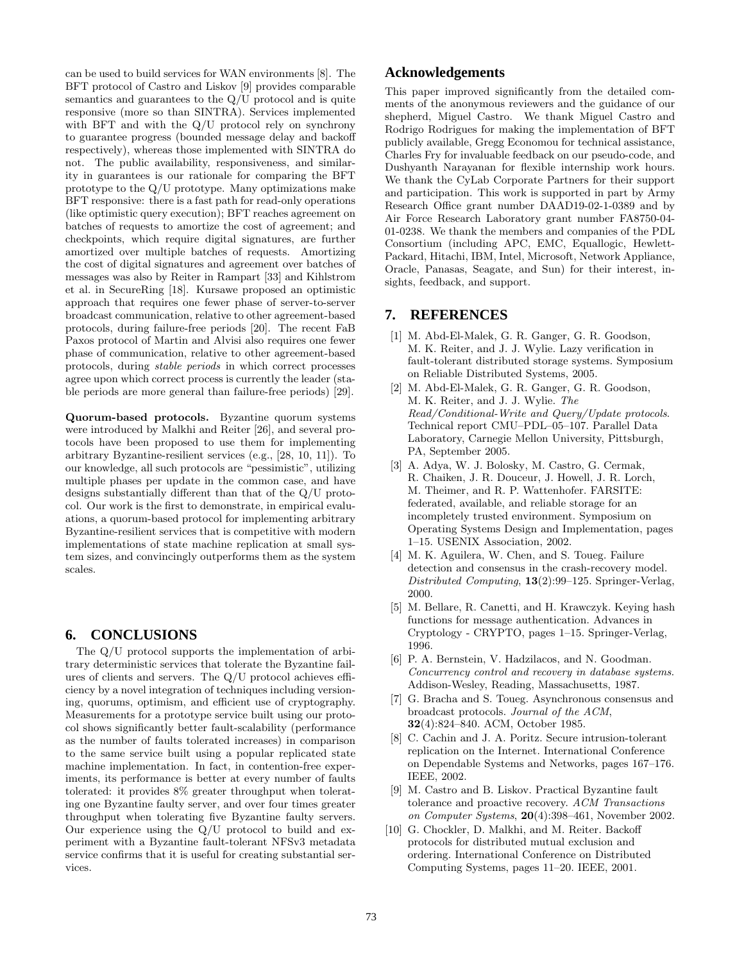can be used to build services for WAN environments [8]. The BFT protocol of Castro and Liskov [9] provides comparable semantics and guarantees to the Q/U protocol and is quite responsive (more so than SINTRA). Services implemented with BFT and with the Q/U protocol rely on synchrony to guarantee progress (bounded message delay and backoff respectively), whereas those implemented with SINTRA do not. The public availability, responsiveness, and similarity in guarantees is our rationale for comparing the BFT prototype to the Q/U prototype. Many optimizations make BFT responsive: there is a fast path for read-only operations (like optimistic query execution); BFT reaches agreement on batches of requests to amortize the cost of agreement; and checkpoints, which require digital signatures, are further amortized over multiple batches of requests. Amortizing the cost of digital signatures and agreement over batches of messages was also by Reiter in Rampart [33] and Kihlstrom et al. in SecureRing [18]. Kursawe proposed an optimistic approach that requires one fewer phase of server-to-server broadcast communication, relative to other agreement-based protocols, during failure-free periods [20]. The recent FaB Paxos protocol of Martin and Alvisi also requires one fewer phase of communication, relative to other agreement-based protocols, during stable periods in which correct processes agree upon which correct process is currently the leader (stable periods are more general than failure-free periods) [29].

Quorum-based protocols. Byzantine quorum systems were introduced by Malkhi and Reiter [26], and several protocols have been proposed to use them for implementing arbitrary Byzantine-resilient services (e.g., [28, 10, 11]). To our knowledge, all such protocols are "pessimistic", utilizing multiple phases per update in the common case, and have designs substantially different than that of the Q/U protocol. Our work is the first to demonstrate, in empirical evaluations, a quorum-based protocol for implementing arbitrary Byzantine-resilient services that is competitive with modern implementations of state machine replication at small system sizes, and convincingly outperforms them as the system scales.

#### **6. CONCLUSIONS**

The Q/U protocol supports the implementation of arbitrary deterministic services that tolerate the Byzantine failures of clients and servers. The Q/U protocol achieves efficiency by a novel integration of techniques including versioning, quorums, optimism, and efficient use of cryptography. Measurements for a prototype service built using our protocol shows significantly better fault-scalability (performance as the number of faults tolerated increases) in comparison to the same service built using a popular replicated state machine implementation. In fact, in contention-free experiments, its performance is better at every number of faults tolerated: it provides 8% greater throughput when tolerating one Byzantine faulty server, and over four times greater throughput when tolerating five Byzantine faulty servers. Our experience using the Q/U protocol to build and experiment with a Byzantine fault-tolerant NFSv3 metadata service confirms that it is useful for creating substantial services.

# **Acknowledgements**

This paper improved significantly from the detailed comments of the anonymous reviewers and the guidance of our shepherd, Miguel Castro. We thank Miguel Castro and Rodrigo Rodrigues for making the implementation of BFT publicly available, Gregg Economou for technical assistance, Charles Fry for invaluable feedback on our pseudo-code, and Dushyanth Narayanan for flexible internship work hours. We thank the CyLab Corporate Partners for their support and participation. This work is supported in part by Army Research Office grant number DAAD19-02-1-0389 and by Air Force Research Laboratory grant number FA8750-04- 01-0238. We thank the members and companies of the PDL Consortium (including APC, EMC, Equallogic, Hewlett-Packard, Hitachi, IBM, Intel, Microsoft, Network Appliance, Oracle, Panasas, Seagate, and Sun) for their interest, insights, feedback, and support.

# **7. REFERENCES**

- [1] M. Abd-El-Malek, G. R. Ganger, G. R. Goodson, M. K. Reiter, and J. J. Wylie. Lazy verification in fault-tolerant distributed storage systems. Symposium on Reliable Distributed Systems, 2005.
- [2] M. Abd-El-Malek, G. R. Ganger, G. R. Goodson, M. K. Reiter, and J. J. Wylie. The Read/Conditional-Write and Query/Update protocols. Technical report CMU–PDL–05–107. Parallel Data Laboratory, Carnegie Mellon University, Pittsburgh, PA, September 2005.
- [3] A. Adya, W. J. Bolosky, M. Castro, G. Cermak, R. Chaiken, J. R. Douceur, J. Howell, J. R. Lorch, M. Theimer, and R. P. Wattenhofer. FARSITE: federated, available, and reliable storage for an incompletely trusted environment. Symposium on Operating Systems Design and Implementation, pages 1–15. USENIX Association, 2002.
- [4] M. K. Aguilera, W. Chen, and S. Toueg. Failure detection and consensus in the crash-recovery model. Distributed Computing, 13(2):99–125. Springer-Verlag, 2000.
- [5] M. Bellare, R. Canetti, and H. Krawczyk. Keying hash functions for message authentication. Advances in Cryptology - CRYPTO, pages 1–15. Springer-Verlag, 1996.
- [6] P. A. Bernstein, V. Hadzilacos, and N. Goodman. Concurrency control and recovery in database systems. Addison-Wesley, Reading, Massachusetts, 1987.
- [7] G. Bracha and S. Toueg. Asynchronous consensus and broadcast protocols. Journal of the ACM, 32(4):824–840. ACM, October 1985.
- [8] C. Cachin and J. A. Poritz. Secure intrusion-tolerant replication on the Internet. International Conference on Dependable Systems and Networks, pages 167–176. IEEE, 2002.
- [9] M. Castro and B. Liskov. Practical Byzantine fault tolerance and proactive recovery. ACM Transactions on Computer Systems, 20(4):398–461, November 2002.
- [10] G. Chockler, D. Malkhi, and M. Reiter. Backoff protocols for distributed mutual exclusion and ordering. International Conference on Distributed Computing Systems, pages 11–20. IEEE, 2001.